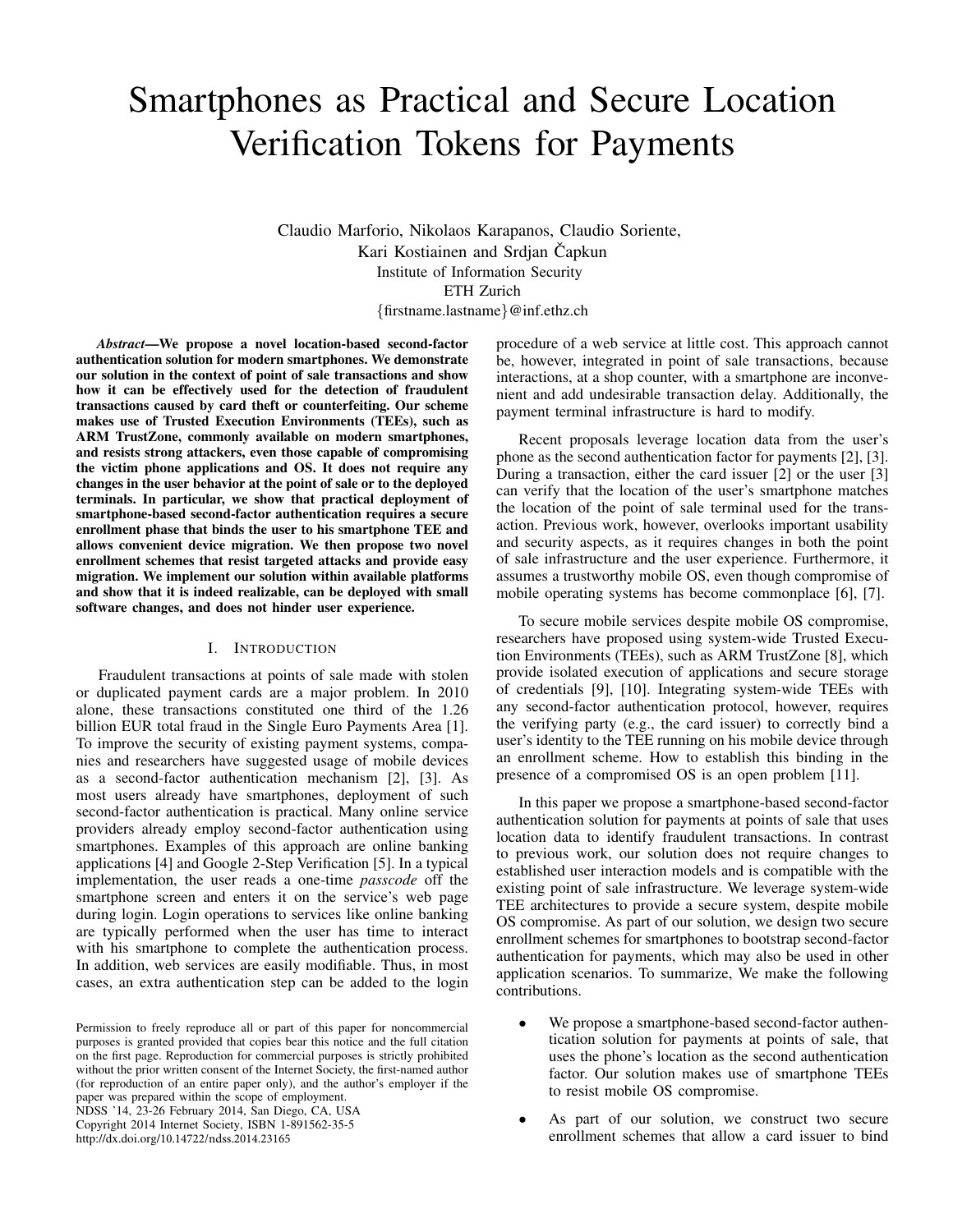# Smartphones as Practical and Secure Location Verification Tokens for Payments

Claudio Marforio, Nikolaos Karapanos, Claudio Soriente, Kari Kostiainen and Srdjan Čapkun Institute of Information Security ETH Zurich *{*firstname.lastname*}*@inf.ethz.ch

*Abstract*—We propose a novel location-based second-factor authentication solution for modern smartphones. We demonstrate our solution in the context of point of sale transactions and show how it can be effectively used for the detection of fraudulent transactions caused by card theft or counterfeiting. Our scheme makes use of Trusted Execution Environments (TEEs), such as ARM TrustZone, commonly available on modern smartphones, and resists strong attackers, even those capable of compromising the victim phone applications and OS. It does not require any changes in the user behavior at the point of sale or to the deployed terminals. In particular, we show that practical deployment of smartphone-based second-factor authentication requires a secure enrollment phase that binds the user to his smartphone TEE and allows convenient device migration. We then propose two novel enrollment schemes that resist targeted attacks and provide easy migration. We implement our solution within available platforms and show that it is indeed realizable, can be deployed with small software changes, and does not hinder user experience.

#### I. INTRODUCTION

Fraudulent transactions at points of sale made with stolen or duplicated payment cards are a major problem. In 2010 alone, these transactions constituted one third of the 1.26 billion EUR total fraud in the Single Euro Payments Area [\[1\]](#page-13-0). To improve the security of existing payment systems, companies and researchers have suggested usage of mobile devices as a second-factor authentication mechanism [\[2\]](#page-13-1), [\[3\]](#page-13-2). As most users already have smartphones, deployment of such second-factor authentication is practical. Many online service providers already employ second-factor authentication using smartphones. Examples of this approach are online banking applications [\[4\]](#page-13-3) and Google 2-Step Verification [\[5\]](#page-13-4). In a typical implementation, the user reads a one-time *passcode* off the smartphone screen and enters it on the service's web page during login. Login operations to services like online banking are typically performed when the user has time to interact with his smartphone to complete the authentication process. In addition, web services are easily modifiable. Thus, in most cases, an extra authentication step can be added to the login

NDSS '14, 23-26 February 2014, San Diego, CA, USA Copyright 2014 Internet Society, ISBN 1-891562-35-5 http://dx.doi.org/10.14722/ndss.2014.23165

procedure of a web service at little cost. This approach cannot be, however, integrated in point of sale transactions, because interactions, at a shop counter, with a smartphone are inconvenient and add undesirable transaction delay. Additionally, the payment terminal infrastructure is hard to modify.

Recent proposals leverage location data from the user's phone as the second authentication factor for payments [\[2\]](#page-13-1), [\[3\]](#page-13-2). During a transaction, either the card issuer [\[2\]](#page-13-1) or the user [\[3\]](#page-13-2) can verify that the location of the user's smartphone matches the location of the point of sale terminal used for the transaction. Previous work, however, overlooks important usability and security aspects, as it requires changes in both the point of sale infrastructure and the user experience. Furthermore, it assumes a trustworthy mobile OS, even though compromise of mobile operating systems has become commonplace [\[6\]](#page-13-5), [\[7\]](#page-13-6).

To secure mobile services despite mobile OS compromise, researchers have proposed using system-wide Trusted Execution Environments (TEEs), such as ARM TrustZone [\[8\]](#page-13-7), which provide isolated execution of applications and secure storage of credentials [\[9\]](#page-13-8), [\[10\]](#page-13-9). Integrating system-wide TEEs with any second-factor authentication protocol, however, requires the verifying party (e.g., the card issuer) to correctly bind a user's identity to the TEE running on his mobile device through an enrollment scheme. How to establish this binding in the presence of a compromised OS is an open problem [\[11\]](#page-13-10).

In this paper we propose a smartphone-based second-factor authentication solution for payments at points of sale that uses location data to identify fraudulent transactions. In contrast to previous work, our solution does not require changes to established user interaction models and is compatible with the existing point of sale infrastructure. We leverage system-wide TEE architectures to provide a secure system, despite mobile OS compromise. As part of our solution, we design two secure enrollment schemes for smartphones to bootstrap second-factor authentication for payments, which may also be used in other application scenarios. To summarize, We make the following contributions.

- We propose a smartphone-based second-factor authentication solution for payments at points of sale, that uses the phone's location as the second authentication factor. Our solution makes use of smartphone TEEs to resist mobile OS compromise.
- As part of our solution, we construct two secure enrollment schemes that allow a card issuer to bind

Permission to freely reproduce all or part of this paper for noncommercial purposes is granted provided that copies bear this notice and the full citation on the first page. Reproduction for commercial purposes is strictly prohibited without the prior written consent of the Internet Society, the first-named author (for reproduction of an entire paper only), and the author's employer if the paper was prepared within the scope of employment.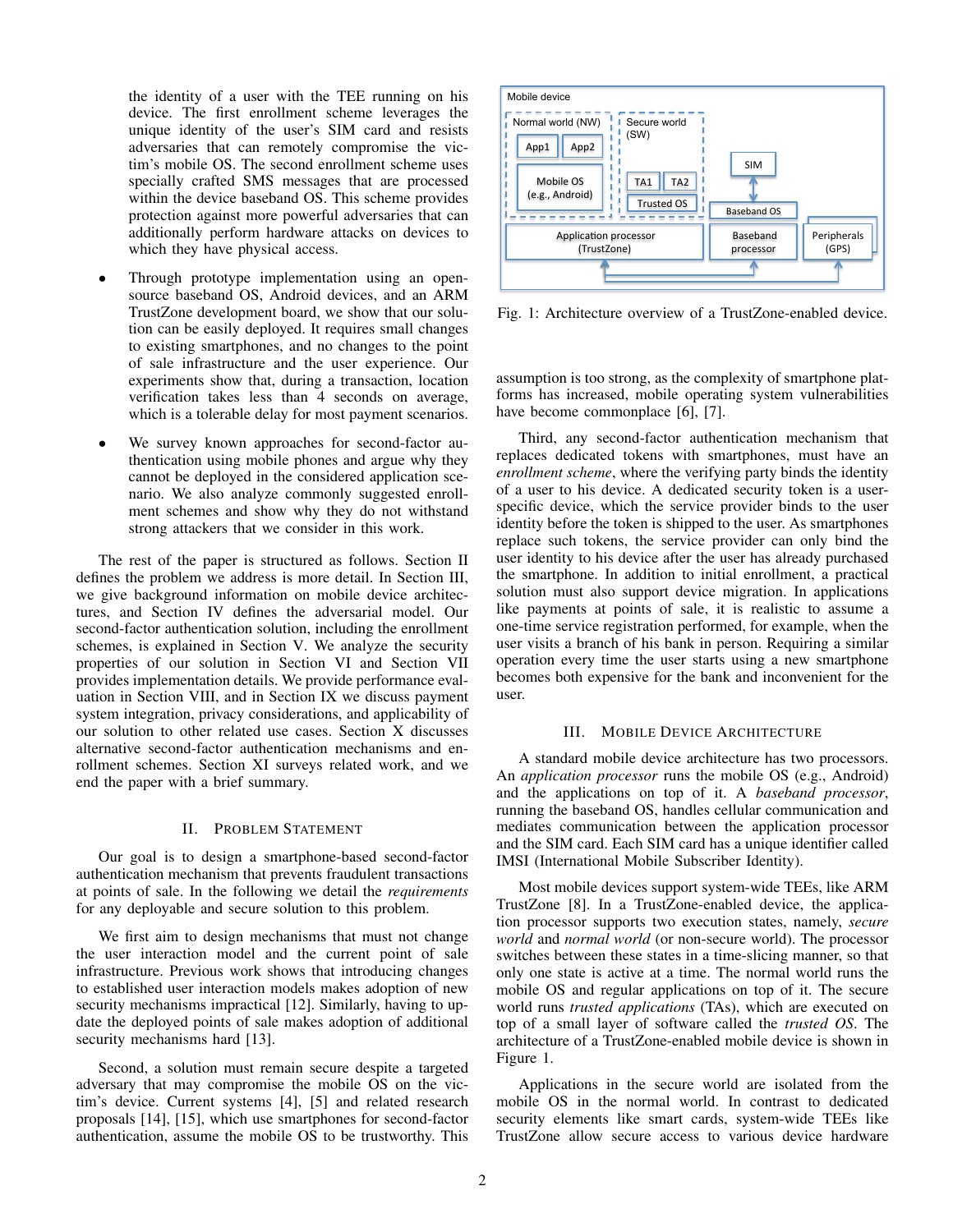the identity of a user with the TEE running on his device. The first enrollment scheme leverages the unique identity of the user's SIM card and resists adversaries that can remotely compromise the victim's mobile OS. The second enrollment scheme uses specially crafted SMS messages that are processed within the device baseband OS. This scheme provides protection against more powerful adversaries that can additionally perform hardware attacks on devices to which they have physical access.

- *•* Through prototype implementation using an opensource baseband OS, Android devices, and an ARM TrustZone development board, we show that our solution can be easily deployed. It requires small changes to existing smartphones, and no changes to the point of sale infrastructure and the user experience. Our experiments show that, during a transaction, location verification takes less than 4 seconds on average, which is a tolerable delay for most payment scenarios.
- We survey known approaches for second-factor authentication using mobile phones and argue why they cannot be deployed in the considered application scenario. We also analyze commonly suggested enrollment schemes and show why they do not withstand strong attackers that we consider in this work.

The rest of the paper is structured as follows. Section [II](#page-1-0) defines the problem we address is more detail. In Section [III,](#page-1-1) we give background information on mobile device architectures, and Section [IV](#page-2-0) defines the adversarial model. Our second-factor authentication solution, including the enrollment schemes, is explained in Section [V.](#page-3-0) We analyze the security properties of our solution in Section [VI](#page-5-0) and Section [VII](#page-6-0) provides implementation details. We provide performance evaluation in Section [VIII,](#page-7-0) and in Section [IX](#page-8-0) we discuss payment system integration, privacy considerations, and applicability of our solution to other related use cases. Section [X](#page-10-0) discusses alternative second-factor authentication mechanisms and enrollment schemes. Section [XI](#page-12-0) surveys related work, and we end the paper with a brief summary.

#### II. PROBLEM STATEMENT

<span id="page-1-0"></span>Our goal is to design a smartphone-based second-factor authentication mechanism that prevents fraudulent transactions at points of sale. In the following we detail the *requirements* for any deployable and secure solution to this problem.

We first aim to design mechanisms that must not change the user interaction model and the current point of sale infrastructure. Previous work shows that introducing changes to established user interaction models makes adoption of new security mechanisms impractical [\[12\]](#page-13-11). Similarly, having to update the deployed points of sale makes adoption of additional security mechanisms hard [\[13\]](#page-13-12).

Second, a solution must remain secure despite a targeted adversary that may compromise the mobile OS on the victim's device. Current systems [\[4\]](#page-13-3), [\[5\]](#page-13-4) and related research proposals [\[14\]](#page-13-13), [\[15\]](#page-13-14), which use smartphones for second-factor authentication, assume the mobile OS to be trustworthy. This

<span id="page-1-2"></span>

Fig. 1: Architecture overview of a TrustZone-enabled device.

assumption is too strong, as the complexity of smartphone platforms has increased, mobile operating system vulnerabilities have become commonplace [\[6\]](#page-13-5), [\[7\]](#page-13-6).

Third, any second-factor authentication mechanism that replaces dedicated tokens with smartphones, must have an *enrollment scheme*, where the verifying party binds the identity of a user to his device. A dedicated security token is a userspecific device, which the service provider binds to the user identity before the token is shipped to the user. As smartphones replace such tokens, the service provider can only bind the user identity to his device after the user has already purchased the smartphone. In addition to initial enrollment, a practical solution must also support device migration. In applications like payments at points of sale, it is realistic to assume a one-time service registration performed, for example, when the user visits a branch of his bank in person. Requiring a similar operation every time the user starts using a new smartphone becomes both expensive for the bank and inconvenient for the user.

#### III. MOBILE DEVICE ARCHITECTURE

<span id="page-1-1"></span>A standard mobile device architecture has two processors. An *application processor* runs the mobile OS (e.g., Android) and the applications on top of it. A *baseband processor*, running the baseband OS, handles cellular communication and mediates communication between the application processor and the SIM card. Each SIM card has a unique identifier called IMSI (International Mobile Subscriber Identity).

Most mobile devices support system-wide TEEs, like ARM TrustZone [\[8\]](#page-13-7). In a TrustZone-enabled device, the application processor supports two execution states, namely, *secure world* and *normal world* (or non-secure world). The processor switches between these states in a time-slicing manner, so that only one state is active at a time. The normal world runs the mobile OS and regular applications on top of it. The secure world runs *trusted applications* (TAs), which are executed on top of a small layer of software called the *trusted OS*. The architecture of a TrustZone-enabled mobile device is shown in Figure [1.](#page-1-2)

Applications in the secure world are isolated from the mobile OS in the normal world. In contrast to dedicated security elements like smart cards, system-wide TEEs like TrustZone allow secure access to various device hardware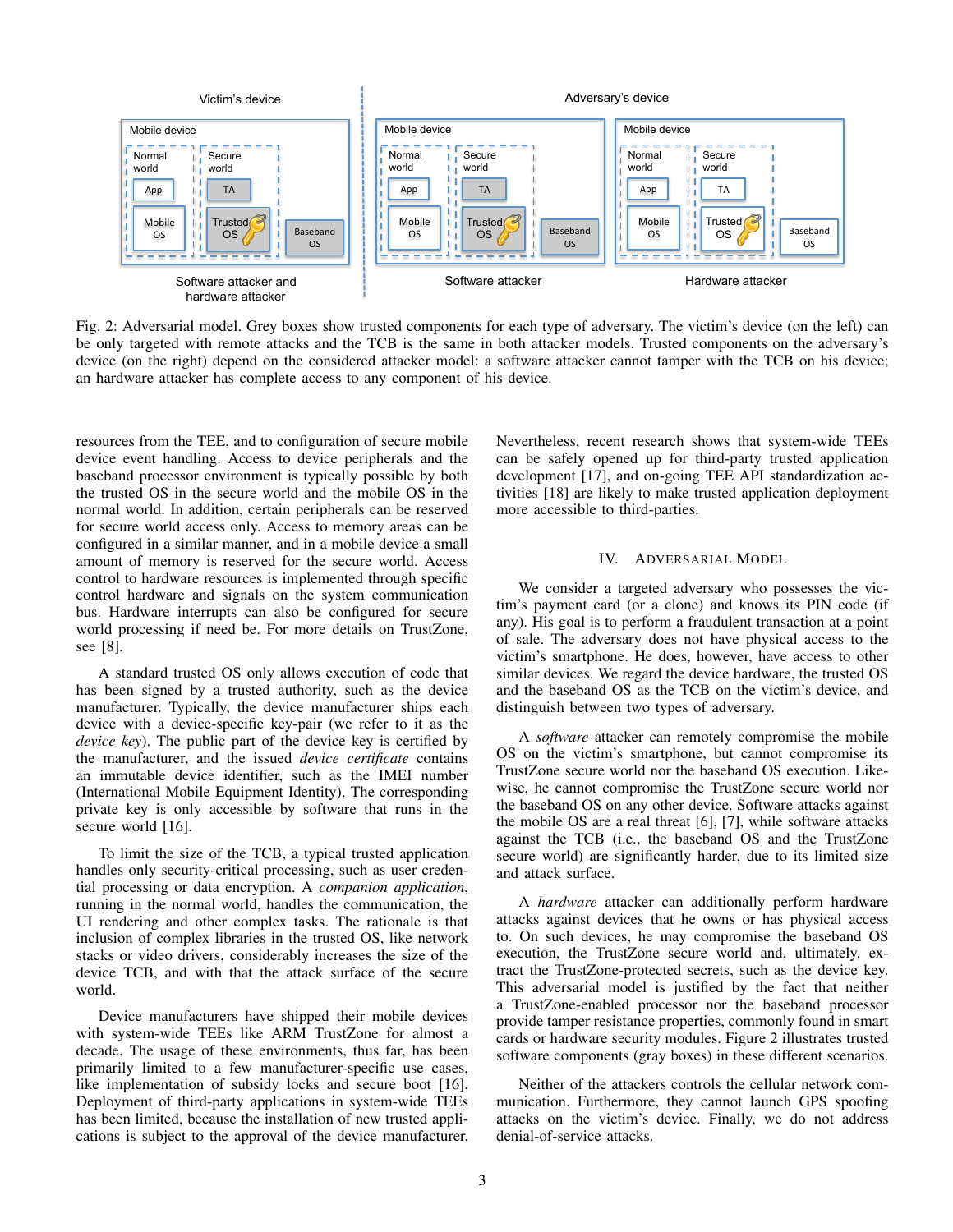<span id="page-2-1"></span>

Fig. 2: Adversarial model. Grey boxes show trusted components for each type of adversary. The victim's device (on the left) can be only targeted with remote attacks and the TCB is the same in both attacker models. Trusted components on the adversary's device (on the right) depend on the considered attacker model: a software attacker cannot tamper with the TCB on his device; an hardware attacker has complete access to any component of his device.

resources from the TEE, and to configuration of secure mobile device event handling. Access to device peripherals and the baseband processor environment is typically possible by both the trusted OS in the secure world and the mobile OS in the normal world. In addition, certain peripherals can be reserved for secure world access only. Access to memory areas can be configured in a similar manner, and in a mobile device a small amount of memory is reserved for the secure world. Access control to hardware resources is implemented through specific control hardware and signals on the system communication bus. Hardware interrupts can also be configured for secure world processing if need be. For more details on TrustZone, see [\[8\]](#page-13-7).

A standard trusted OS only allows execution of code that has been signed by a trusted authority, such as the device manufacturer. Typically, the device manufacturer ships each device with a device-specific key-pair (we refer to it as the *device key*). The public part of the device key is certified by the manufacturer, and the issued *device certificate* contains an immutable device identifier, such as the IMEI number (International Mobile Equipment Identity). The corresponding private key is only accessible by software that runs in the secure world [\[16\]](#page-13-15).

To limit the size of the TCB, a typical trusted application handles only security-critical processing, such as user credential processing or data encryption. A *companion application*, running in the normal world, handles the communication, the UI rendering and other complex tasks. The rationale is that inclusion of complex libraries in the trusted OS, like network stacks or video drivers, considerably increases the size of the device TCB, and with that the attack surface of the secure world.

Device manufacturers have shipped their mobile devices with system-wide TEEs like ARM TrustZone for almost a decade. The usage of these environments, thus far, has been primarily limited to a few manufacturer-specific use cases, like implementation of subsidy locks and secure boot [\[16\]](#page-13-15). Deployment of third-party applications in system-wide TEEs has been limited, because the installation of new trusted applications is subject to the approval of the device manufacturer. Nevertheless, recent research shows that system-wide TEEs can be safely opened up for third-party trusted application development [\[17\]](#page-14-0), and on-going TEE API standardization activities [\[18\]](#page-14-1) are likely to make trusted application deployment more accessible to third-parties.

#### IV. ADVERSARIAL MODEL

<span id="page-2-0"></span>We consider a targeted adversary who possesses the victim's payment card (or a clone) and knows its PIN code (if any). His goal is to perform a fraudulent transaction at a point of sale. The adversary does not have physical access to the victim's smartphone. He does, however, have access to other similar devices. We regard the device hardware, the trusted OS and the baseband OS as the TCB on the victim's device, and distinguish between two types of adversary.

A *software* attacker can remotely compromise the mobile OS on the victim's smartphone, but cannot compromise its TrustZone secure world nor the baseband OS execution. Likewise, he cannot compromise the TrustZone secure world nor the baseband OS on any other device. Software attacks against the mobile OS are a real threat [\[6\]](#page-13-5), [\[7\]](#page-13-6), while software attacks against the TCB (i.e., the baseband OS and the TrustZone secure world) are significantly harder, due to its limited size and attack surface.

A *hardware* attacker can additionally perform hardware attacks against devices that he owns or has physical access to. On such devices, he may compromise the baseband OS execution, the TrustZone secure world and, ultimately, extract the TrustZone-protected secrets, such as the device key. This adversarial model is justified by the fact that neither a TrustZone-enabled processor nor the baseband processor provide tamper resistance properties, commonly found in smart cards or hardware security modules. Figure [2](#page-2-1) illustrates trusted software components (gray boxes) in these different scenarios.

Neither of the attackers controls the cellular network communication. Furthermore, they cannot launch GPS spoofing attacks on the victim's device. Finally, we do not address denial-of-service attacks.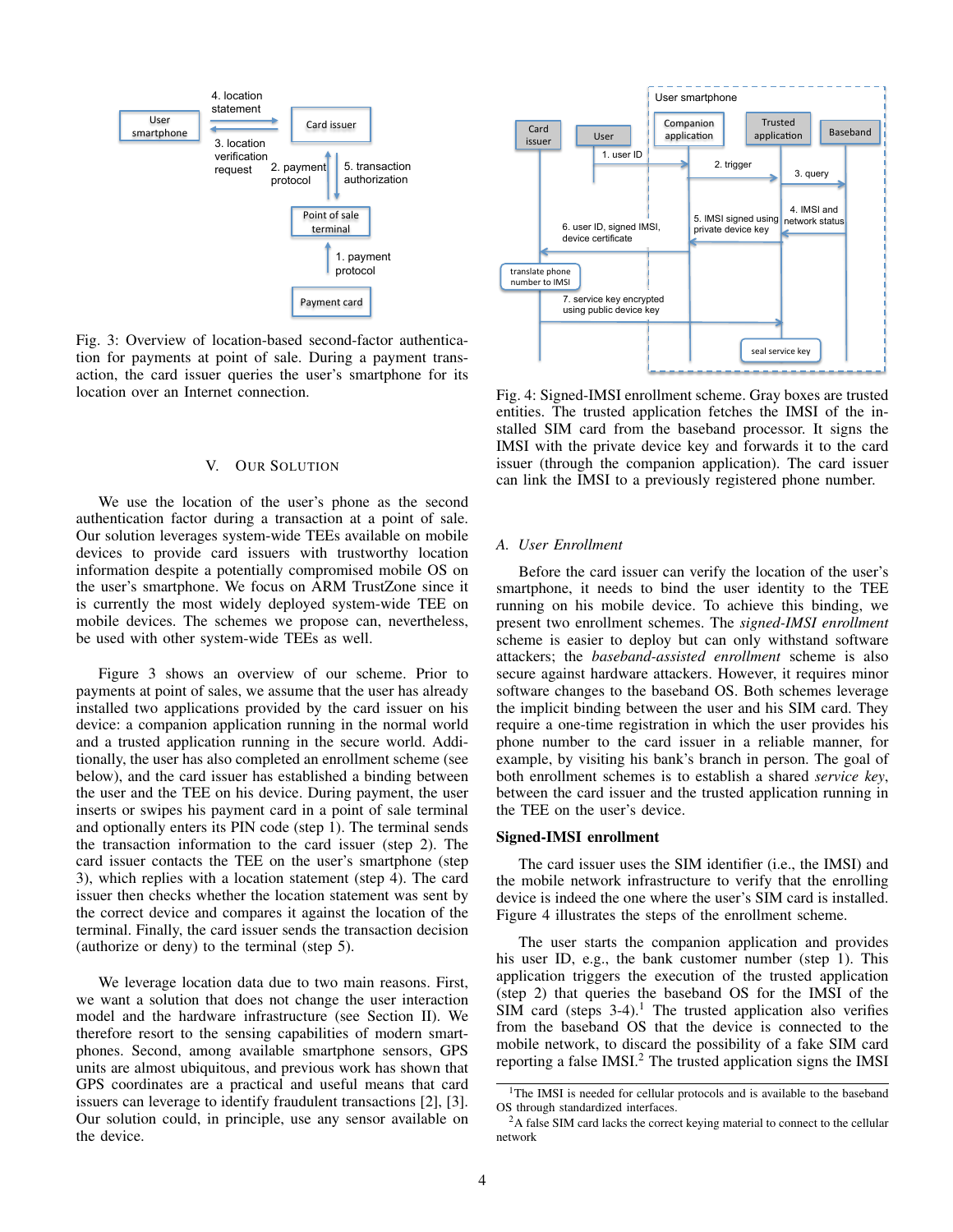<span id="page-3-1"></span>

Fig. 3: Overview of location-based second-factor authentication for payments at point of sale. During a payment transaction, the card issuer queries the user's smartphone for its location over an Internet connection.

# V. OUR SOLUTION

<span id="page-3-0"></span>We use the location of the user's phone as the second authentication factor during a transaction at a point of sale. Our solution leverages system-wide TEEs available on mobile devices to provide card issuers with trustworthy location information despite a potentially compromised mobile OS on the user's smartphone. We focus on ARM TrustZone since it is currently the most widely deployed system-wide TEE on mobile devices. The schemes we propose can, nevertheless, be used with other system-wide TEEs as well.

Figure [3](#page-3-1) shows an overview of our scheme. Prior to payments at point of sales, we assume that the user has already installed two applications provided by the card issuer on his device: a companion application running in the normal world and a trusted application running in the secure world. Additionally, the user has also completed an enrollment scheme (see below), and the card issuer has established a binding between the user and the TEE on his device. During payment, the user inserts or swipes his payment card in a point of sale terminal and optionally enters its PIN code (step 1). The terminal sends the transaction information to the card issuer (step 2). The card issuer contacts the TEE on the user's smartphone (step 3), which replies with a location statement (step 4). The card issuer then checks whether the location statement was sent by the correct device and compares it against the location of the terminal. Finally, the card issuer sends the transaction decision (authorize or deny) to the terminal (step 5).

We leverage location data due to two main reasons. First, we want a solution that does not change the user interaction model and the hardware infrastructure (see Section [II\)](#page-1-0). We therefore resort to the sensing capabilities of modern smartphones. Second, among available smartphone sensors, GPS units are almost ubiquitous, and previous work has shown that GPS coordinates are a practical and useful means that card issuers can leverage to identify fraudulent transactions [\[2\]](#page-13-1), [\[3\]](#page-13-2). Our solution could, in principle, use any sensor available on the device.

<span id="page-3-2"></span>

Fig. 4: Signed-IMSI enrollment scheme. Gray boxes are trusted entities. The trusted application fetches the IMSI of the installed SIM card from the baseband processor. It signs the IMSI with the private device key and forwards it to the card issuer (through the companion application). The card issuer can link the IMSI to a previously registered phone number.

## <span id="page-3-5"></span>*A. User Enrollment*

Before the card issuer can verify the location of the user's smartphone, it needs to bind the user identity to the TEE running on his mobile device. To achieve this binding, we present two enrollment schemes. The *signed-IMSI enrollment* scheme is easier to deploy but can only withstand software attackers; the *baseband-assisted enrollment* scheme is also secure against hardware attackers. However, it requires minor software changes to the baseband OS. Both schemes leverage the implicit binding between the user and his SIM card. They require a one-time registration in which the user provides his phone number to the card issuer in a reliable manner, for example, by visiting his bank's branch in person. The goal of both enrollment schemes is to establish a shared *service key*, between the card issuer and the trusted application running in the TEE on the user's device.

#### Signed-IMSI enrollment

The card issuer uses the SIM identifier (i.e., the IMSI) and the mobile network infrastructure to verify that the enrolling device is indeed the one where the user's SIM card is installed. Figure [4](#page-3-2) illustrates the steps of the enrollment scheme.

The user starts the companion application and provides his user ID, e.g., the bank customer number (step 1). This application triggers the execution of the trusted application (step 2) that queries the baseband OS for the IMSI of the  $SIM$  card (steps  $3-4$ ).<sup>1</sup> The trusted application also verifies from the baseband OS that the device is connected to the mobile network, to discard the possibility of a fake SIM card reporting a false IMSI.<sup>[2](#page-3-4)</sup> The trusted application signs the IMSI

<span id="page-3-3"></span><sup>&</sup>lt;sup>1</sup>The IMSI is needed for cellular protocols and is available to the baseband OS through standardized interfaces.

<span id="page-3-4"></span><sup>&</sup>lt;sup>2</sup>A false SIM card lacks the correct keying material to connect to the cellular network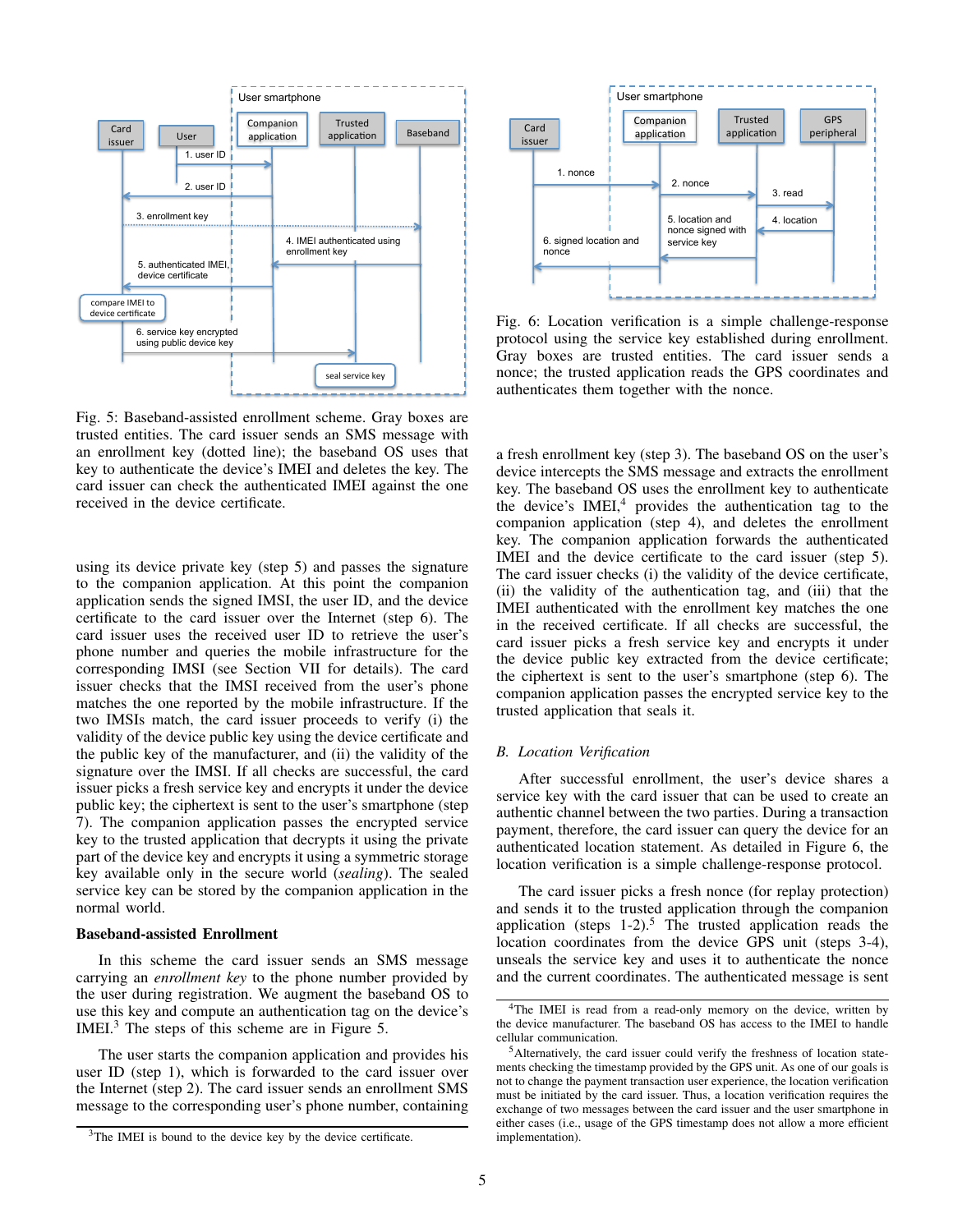<span id="page-4-1"></span>

Fig. 5: Baseband-assisted enrollment scheme. Gray boxes are trusted entities. The card issuer sends an SMS message with an enrollment key (dotted line); the baseband OS uses that key to authenticate the device's IMEI and deletes the key. The card issuer can check the authenticated IMEI against the one received in the device certificate.

using its device private key (step 5) and passes the signature to the companion application. At this point the companion application sends the signed IMSI, the user ID, and the device certificate to the card issuer over the Internet (step 6). The card issuer uses the received user ID to retrieve the user's phone number and queries the mobile infrastructure for the corresponding IMSI (see Section [VII](#page-6-0) for details). The card issuer checks that the IMSI received from the user's phone matches the one reported by the mobile infrastructure. If the two IMSIs match, the card issuer proceeds to verify (i) the validity of the device public key using the device certificate and the public key of the manufacturer, and (ii) the validity of the signature over the IMSI. If all checks are successful, the card issuer picks a fresh service key and encrypts it under the device public key; the ciphertext is sent to the user's smartphone (step 7). The companion application passes the encrypted service key to the trusted application that decrypts it using the private part of the device key and encrypts it using a symmetric storage key available only in the secure world (*sealing*). The sealed service key can be stored by the companion application in the normal world.

## Baseband-assisted Enrollment

In this scheme the card issuer sends an SMS message carrying an *enrollment key* to the phone number provided by the user during registration. We augment the baseband OS to use this key and compute an authentication tag on the device's IMEI.[3](#page-4-0) The steps of this scheme are in Figure [5.](#page-4-1)

The user starts the companion application and provides his user ID (step 1), which is forwarded to the card issuer over the Internet (step 2). The card issuer sends an enrollment SMS message to the corresponding user's phone number, containing

<span id="page-4-3"></span>

Fig. 6: Location verification is a simple challenge-response protocol using the service key established during enrollment. Gray boxes are trusted entities. The card issuer sends a nonce; the trusted application reads the GPS coordinates and authenticates them together with the nonce.

a fresh enrollment key (step 3). The baseband OS on the user's device intercepts the SMS message and extracts the enrollment key. The baseband OS uses the enrollment key to authenticate the device's  $IMEI<sup>4</sup>$  provides the authentication tag to the companion application (step 4), and deletes the enrollment key. The companion application forwards the authenticated IMEI and the device certificate to the card issuer (step 5). The card issuer checks (i) the validity of the device certificate, (ii) the validity of the authentication tag, and (iii) that the IMEI authenticated with the enrollment key matches the one in the received certificate. If all checks are successful, the card issuer picks a fresh service key and encrypts it under the device public key extracted from the device certificate; the ciphertext is sent to the user's smartphone (step 6). The companion application passes the encrypted service key to the trusted application that seals it.

# <span id="page-4-5"></span>*B. Location Verification*

After successful enrollment, the user's device shares a service key with the card issuer that can be used to create an authentic channel between the two parties. During a transaction payment, therefore, the card issuer can query the device for an authenticated location statement. As detailed in Figure [6,](#page-4-3) the location verification is a simple challenge-response protocol.

The card issuer picks a fresh nonce (for replay protection) and sends it to the trusted application through the companion application (steps  $1-2$ ).<sup>[5](#page-4-4)</sup> The trusted application reads the location coordinates from the device GPS unit (steps 3-4), unseals the service key and uses it to authenticate the nonce and the current coordinates. The authenticated message is sent

<span id="page-4-2"></span><sup>&</sup>lt;sup>4</sup>The IMEI is read from a read-only memory on the device, written by the device manufacturer. The baseband OS has access to the IMEI to handle cellular communication.

<span id="page-4-4"></span><sup>5</sup>Alternatively, the card issuer could verify the freshness of location statements checking the timestamp provided by the GPS unit. As one of our goals is not to change the payment transaction user experience, the location verification must be initiated by the card issuer. Thus, a location verification requires the exchange of two messages between the card issuer and the user smartphone in either cases (i.e., usage of the GPS timestamp does not allow a more efficient implementation).

<span id="page-4-0"></span><sup>&</sup>lt;sup>3</sup>The IMEI is bound to the device key by the device certificate.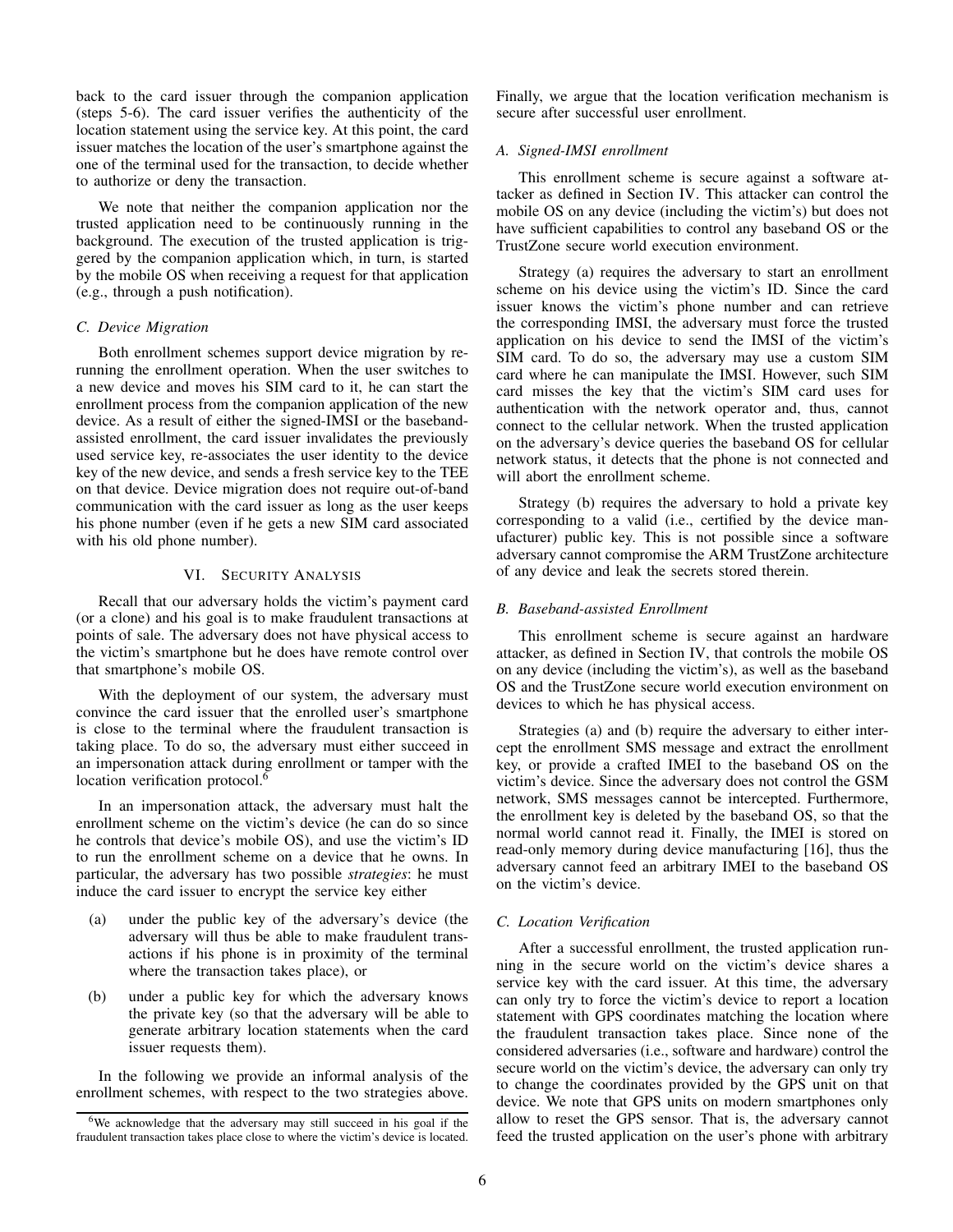back to the card issuer through the companion application (steps 5-6). The card issuer verifies the authenticity of the location statement using the service key. At this point, the card issuer matches the location of the user's smartphone against the one of the terminal used for the transaction, to decide whether to authorize or deny the transaction.

We note that neither the companion application nor the trusted application need to be continuously running in the background. The execution of the trusted application is triggered by the companion application which, in turn, is started by the mobile OS when receiving a request for that application (e.g., through a push notification).

### *C. Device Migration*

Both enrollment schemes support device migration by rerunning the enrollment operation. When the user switches to a new device and moves his SIM card to it, he can start the enrollment process from the companion application of the new device. As a result of either the signed-IMSI or the basebandassisted enrollment, the card issuer invalidates the previously used service key, re-associates the user identity to the device key of the new device, and sends a fresh service key to the TEE on that device. Device migration does not require out-of-band communication with the card issuer as long as the user keeps his phone number (even if he gets a new SIM card associated with his old phone number).

### VI. SECURITY ANALYSIS

<span id="page-5-0"></span>Recall that our adversary holds the victim's payment card (or a clone) and his goal is to make fraudulent transactions at points of sale. The adversary does not have physical access to the victim's smartphone but he does have remote control over that smartphone's mobile OS.

With the deployment of our system, the adversary must convince the card issuer that the enrolled user's smartphone is close to the terminal where the fraudulent transaction is taking place. To do so, the adversary must either succeed in an impersonation attack during enrollment or tamper with the location verification protocol.<sup>6</sup>

In an impersonation attack, the adversary must halt the enrollment scheme on the victim's device (he can do so since he controls that device's mobile OS), and use the victim's ID to run the enrollment scheme on a device that he owns. In particular, the adversary has two possible *strategies*: he must induce the card issuer to encrypt the service key either

- (a) under the public key of the adversary's device (the adversary will thus be able to make fraudulent transactions if his phone is in proximity of the terminal where the transaction takes place), or
- (b) under a public key for which the adversary knows the private key (so that the adversary will be able to generate arbitrary location statements when the card issuer requests them).

In the following we provide an informal analysis of the enrollment schemes, with respect to the two strategies above.

Finally, we argue that the location verification mechanism is secure after successful user enrollment.

# *A. Signed-IMSI enrollment*

This enrollment scheme is secure against a software attacker as defined in Section [IV.](#page-2-0) This attacker can control the mobile OS on any device (including the victim's) but does not have sufficient capabilities to control any baseband OS or the TrustZone secure world execution environment.

Strategy (a) requires the adversary to start an enrollment scheme on his device using the victim's ID. Since the card issuer knows the victim's phone number and can retrieve the corresponding IMSI, the adversary must force the trusted application on his device to send the IMSI of the victim's SIM card. To do so, the adversary may use a custom SIM card where he can manipulate the IMSI. However, such SIM card misses the key that the victim's SIM card uses for authentication with the network operator and, thus, cannot connect to the cellular network. When the trusted application on the adversary's device queries the baseband OS for cellular network status, it detects that the phone is not connected and will abort the enrollment scheme.

Strategy (b) requires the adversary to hold a private key corresponding to a valid (i.e., certified by the device manufacturer) public key. This is not possible since a software adversary cannot compromise the ARM TrustZone architecture of any device and leak the secrets stored therein.

# *B. Baseband-assisted Enrollment*

This enrollment scheme is secure against an hardware attacker, as defined in Section [IV,](#page-2-0) that controls the mobile OS on any device (including the victim's), as well as the baseband OS and the TrustZone secure world execution environment on devices to which he has physical access.

Strategies (a) and (b) require the adversary to either intercept the enrollment SMS message and extract the enrollment key, or provide a crafted IMEI to the baseband OS on the victim's device. Since the adversary does not control the GSM network, SMS messages cannot be intercepted. Furthermore, the enrollment key is deleted by the baseband OS, so that the normal world cannot read it. Finally, the IMEI is stored on read-only memory during device manufacturing [\[16\]](#page-13-15), thus the adversary cannot feed an arbitrary IMEI to the baseband OS on the victim's device.

### *C. Location Verification*

After a successful enrollment, the trusted application running in the secure world on the victim's device shares a service key with the card issuer. At this time, the adversary can only try to force the victim's device to report a location statement with GPS coordinates matching the location where the fraudulent transaction takes place. Since none of the considered adversaries (i.e., software and hardware) control the secure world on the victim's device, the adversary can only try to change the coordinates provided by the GPS unit on that device. We note that GPS units on modern smartphones only allow to reset the GPS sensor. That is, the adversary cannot feed the trusted application on the user's phone with arbitrary

<span id="page-5-1"></span><sup>&</sup>lt;sup>6</sup>We acknowledge that the adversary may still succeed in his goal if the fraudulent transaction takes place close to where the victim's device is located.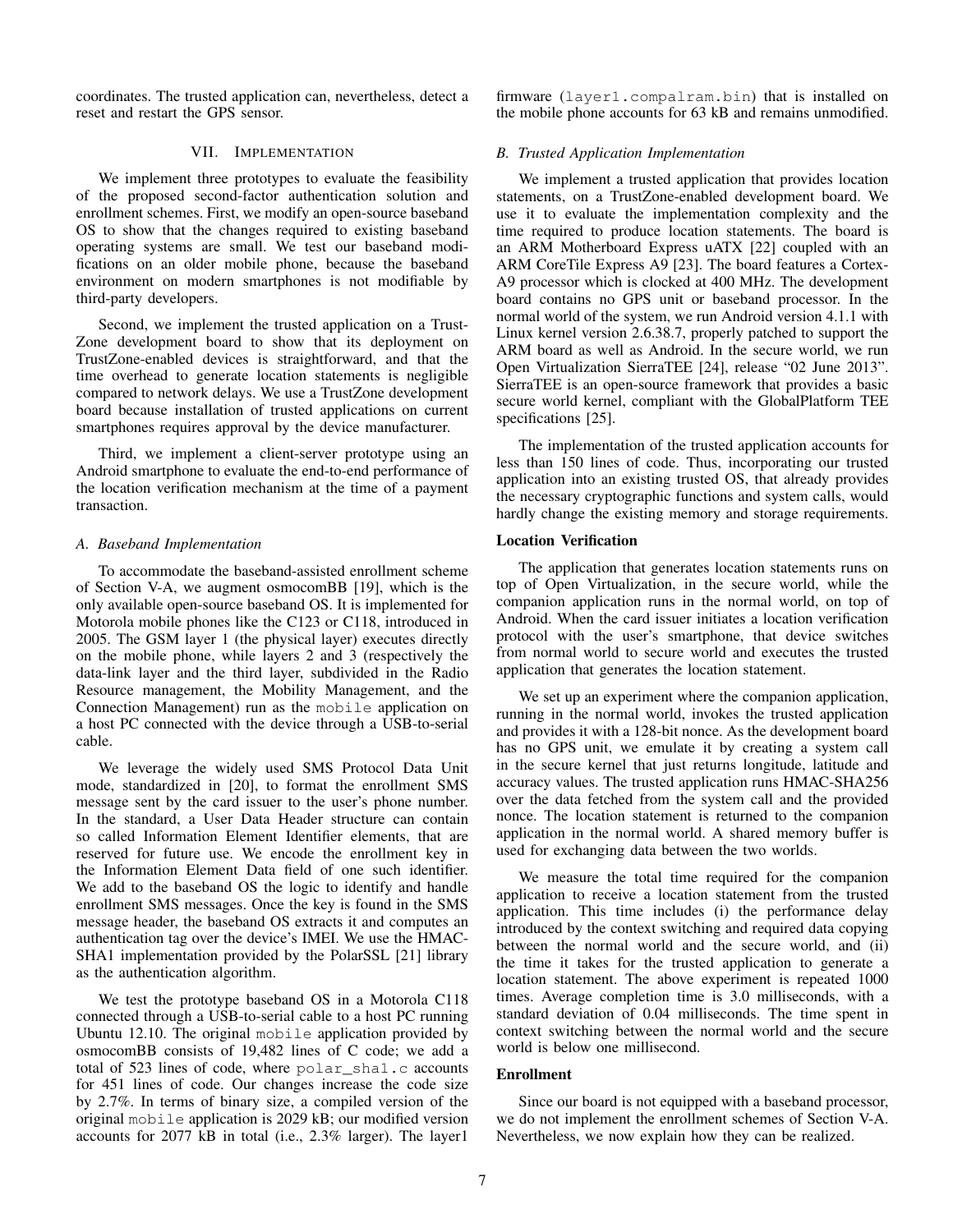<span id="page-6-0"></span>coordinates. The trusted application can, nevertheless, detect a reset and restart the GPS sensor.

### VII. IMPLEMENTATION

We implement three prototypes to evaluate the feasibility of the proposed second-factor authentication solution and enrollment schemes. First, we modify an open-source baseband OS to show that the changes required to existing baseband operating systems are small. We test our baseband modifications on an older mobile phone, because the baseband environment on modern smartphones is not modifiable by third-party developers.

Second, we implement the trusted application on a Trust-Zone development board to show that its deployment on TrustZone-enabled devices is straightforward, and that the time overhead to generate location statements is negligible compared to network delays. We use a TrustZone development board because installation of trusted applications on current smartphones requires approval by the device manufacturer.

Third, we implement a client-server prototype using an Android smartphone to evaluate the end-to-end performance of the location verification mechanism at the time of a payment transaction.

#### *A. Baseband Implementation*

To accommodate the baseband-assisted enrollment scheme of Section [V-A,](#page-3-5) we augment osmocomBB [\[19\]](#page-14-2), which is the only available open-source baseband OS. It is implemented for Motorola mobile phones like the C123 or C118, introduced in 2005. The GSM layer 1 (the physical layer) executes directly on the mobile phone, while layers 2 and 3 (respectively the data-link layer and the third layer, subdivided in the Radio Resource management, the Mobility Management, and the Connection Management) run as the mobile application on a host PC connected with the device through a USB-to-serial cable.

We leverage the widely used SMS Protocol Data Unit mode, standardized in [\[20\]](#page-14-3), to format the enrollment SMS message sent by the card issuer to the user's phone number. In the standard, a User Data Header structure can contain so called Information Element Identifier elements, that are reserved for future use. We encode the enrollment key in the Information Element Data field of one such identifier. We add to the baseband OS the logic to identify and handle enrollment SMS messages. Once the key is found in the SMS message header, the baseband OS extracts it and computes an authentication tag over the device's IMEI. We use the HMAC-SHA1 implementation provided by the PolarSSL [\[21\]](#page-14-4) library as the authentication algorithm.

We test the prototype baseband OS in a Motorola C118 connected through a USB-to-serial cable to a host PC running Ubuntu 12.10. The original mobile application provided by osmocomBB consists of 19,482 lines of C code; we add a total of 523 lines of code, where polar\_sha1.c accounts for 451 lines of code. Our changes increase the code size by 2.7%. In terms of binary size, a compiled version of the original mobile application is 2029 kB; our modified version accounts for 2077 kB in total (i.e., 2.3% larger). The layer1

firmware (layer1.compalram.bin) that is installed on the mobile phone accounts for 63 kB and remains unmodified.

#### *B. Trusted Application Implementation*

We implement a trusted application that provides location statements, on a TrustZone-enabled development board. We use it to evaluate the implementation complexity and the time required to produce location statements. The board is an ARM Motherboard Express uATX [\[22\]](#page-14-5) coupled with an ARM CoreTile Express A9 [\[23\]](#page-14-6). The board features a Cortex-A9 processor which is clocked at 400 MHz. The development board contains no GPS unit or baseband processor. In the normal world of the system, we run Android version 4.1.1 with Linux kernel version 2.6.38.7, properly patched to support the ARM board as well as Android. In the secure world, we run Open Virtualization SierraTEE [\[24\]](#page-14-7), release "02 June 2013". SierraTEE is an open-source framework that provides a basic secure world kernel, compliant with the GlobalPlatform TEE specifications [\[25\]](#page-14-8).

The implementation of the trusted application accounts for less than 150 lines of code. Thus, incorporating our trusted application into an existing trusted OS, that already provides the necessary cryptographic functions and system calls, would hardly change the existing memory and storage requirements.

## Location Verification

The application that generates location statements runs on top of Open Virtualization, in the secure world, while the companion application runs in the normal world, on top of Android. When the card issuer initiates a location verification protocol with the user's smartphone, that device switches from normal world to secure world and executes the trusted application that generates the location statement.

We set up an experiment where the companion application, running in the normal world, invokes the trusted application and provides it with a 128-bit nonce. As the development board has no GPS unit, we emulate it by creating a system call in the secure kernel that just returns longitude, latitude and accuracy values. The trusted application runs HMAC-SHA256 over the data fetched from the system call and the provided nonce. The location statement is returned to the companion application in the normal world. A shared memory buffer is used for exchanging data between the two worlds.

We measure the total time required for the companion application to receive a location statement from the trusted application. This time includes (i) the performance delay introduced by the context switching and required data copying between the normal world and the secure world, and (ii) the time it takes for the trusted application to generate a location statement. The above experiment is repeated 1000 times. Average completion time is 3.0 milliseconds, with a standard deviation of 0.04 milliseconds. The time spent in context switching between the normal world and the secure world is below one millisecond.

# Enrollment

Since our board is not equipped with a baseband processor, we do not implement the enrollment schemes of Section [V-A.](#page-3-5) Nevertheless, we now explain how they can be realized.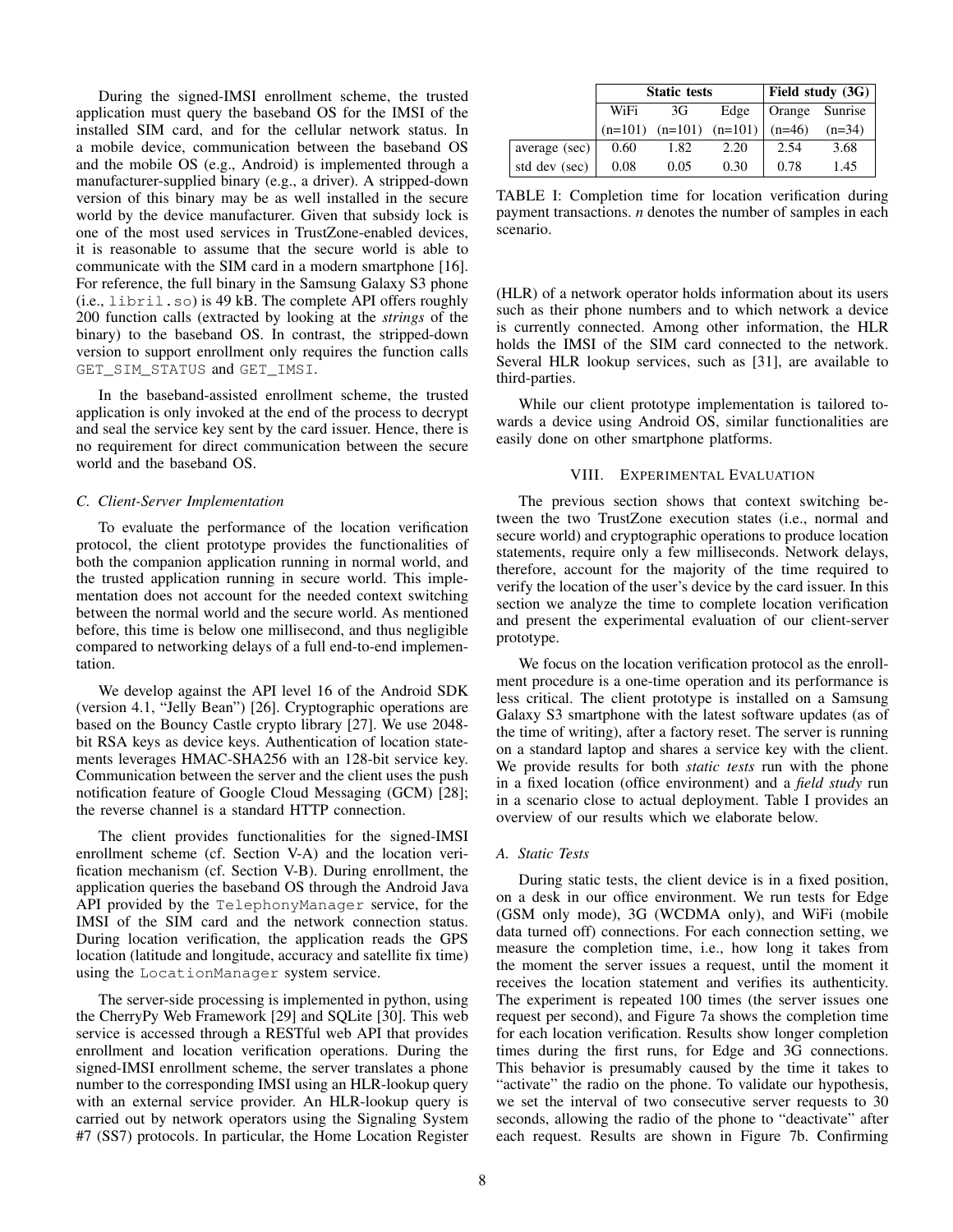During the signed-IMSI enrollment scheme, the trusted application must query the baseband OS for the IMSI of the installed SIM card, and for the cellular network status. In a mobile device, communication between the baseband OS and the mobile OS (e.g., Android) is implemented through a manufacturer-supplied binary (e.g., a driver). A stripped-down version of this binary may be as well installed in the secure world by the device manufacturer. Given that subsidy lock is one of the most used services in TrustZone-enabled devices, it is reasonable to assume that the secure world is able to communicate with the SIM card in a modern smartphone [\[16\]](#page-13-15). For reference, the full binary in the Samsung Galaxy S3 phone (i.e., libril.so) is 49 kB. The complete API offers roughly 200 function calls (extracted by looking at the *strings* of the binary) to the baseband OS. In contrast, the stripped-down version to support enrollment only requires the function calls GET\_SIM\_STATUS and GET\_IMSI.

In the baseband-assisted enrollment scheme, the trusted application is only invoked at the end of the process to decrypt and seal the service key sent by the card issuer. Hence, there is no requirement for direct communication between the secure world and the baseband OS.

#### *C. Client-Server Implementation*

To evaluate the performance of the location verification protocol, the client prototype provides the functionalities of both the companion application running in normal world, and the trusted application running in secure world. This implementation does not account for the needed context switching between the normal world and the secure world. As mentioned before, this time is below one millisecond, and thus negligible compared to networking delays of a full end-to-end implementation.

We develop against the API level 16 of the Android SDK (version 4.1, "Jelly Bean") [\[26\]](#page-14-9). Cryptographic operations are based on the Bouncy Castle crypto library [\[27\]](#page-14-10). We use 2048 bit RSA keys as device keys. Authentication of location statements leverages HMAC-SHA256 with an 128-bit service key. Communication between the server and the client uses the push notification feature of Google Cloud Messaging (GCM) [\[28\]](#page-14-11); the reverse channel is a standard HTTP connection.

The client provides functionalities for the signed-IMSI enrollment scheme (cf. Section [V-A\)](#page-3-5) and the location verification mechanism (cf. Section [V-B\)](#page-4-5). During enrollment, the application queries the baseband OS through the Android Java API provided by the TelephonyManager service, for the IMSI of the SIM card and the network connection status. During location verification, the application reads the GPS location (latitude and longitude, accuracy and satellite fix time) using the LocationManager system service.

The server-side processing is implemented in python, using the CherryPy Web Framework [\[29\]](#page-14-12) and SQLite [\[30\]](#page-14-13). This web service is accessed through a RESTful web API that provides enrollment and location verification operations. During the signed-IMSI enrollment scheme, the server translates a phone number to the corresponding IMSI using an HLR-lookup query with an external service provider. An HLR-lookup query is carried out by network operators using the Signaling System #7 (SS7) protocols. In particular, the Home Location Register

<span id="page-7-1"></span>

|               | <b>Static tests</b> |      |                               | Field study $(3G)$ |          |  |
|---------------|---------------------|------|-------------------------------|--------------------|----------|--|
|               | WiFi                | 3G   | Edge                          | Orange Sunrise     |          |  |
|               |                     |      | $(n=101)$ $(n=101)$ $(n=101)$ | $(n=46)$           | $(n=34)$ |  |
| average (sec) | 0.60                | 1.82 | 2.20                          | 2.54               | 3.68     |  |
| std dev (sec) | 0.08                | 0.05 | 0.30                          | 0.78               | 1.45     |  |

TABLE I: Completion time for location verification during payment transactions. *n* denotes the number of samples in each scenario.

(HLR) of a network operator holds information about its users such as their phone numbers and to which network a device is currently connected. Among other information, the HLR holds the IMSI of the SIM card connected to the network. Several HLR lookup services, such as [\[31\]](#page-14-14), are available to third-parties.

While our client prototype implementation is tailored towards a device using Android OS, similar functionalities are easily done on other smartphone platforms.

### VIII. EXPERIMENTAL EVALUATION

<span id="page-7-0"></span>The previous section shows that context switching between the two TrustZone execution states (i.e., normal and secure world) and cryptographic operations to produce location statements, require only a few milliseconds. Network delays, therefore, account for the majority of the time required to verify the location of the user's device by the card issuer. In this section we analyze the time to complete location verification and present the experimental evaluation of our client-server prototype.

We focus on the location verification protocol as the enrollment procedure is a one-time operation and its performance is less critical. The client prototype is installed on a Samsung Galaxy S3 smartphone with the latest software updates (as of the time of writing), after a factory reset. The server is running on a standard laptop and shares a service key with the client. We provide results for both *static tests* run with the phone in a fixed location (office environment) and a *field study* run in a scenario close to actual deployment. Table [I](#page-7-1) provides an overview of our results which we elaborate below.

### *A. Static Tests*

During static tests, the client device is in a fixed position, on a desk in our office environment. We run tests for Edge (GSM only mode), 3G (WCDMA only), and WiFi (mobile data turned off) connections. For each connection setting, we measure the completion time, i.e., how long it takes from the moment the server issues a request, until the moment it receives the location statement and verifies its authenticity. The experiment is repeated 100 times (the server issues one request per second), and Figure [7a](#page-8-1) shows the completion time for each location verification. Results show longer completion times during the first runs, for Edge and 3G connections. This behavior is presumably caused by the time it takes to "activate" the radio on the phone. To validate our hypothesis, we set the interval of two consecutive server requests to 30 seconds, allowing the radio of the phone to "deactivate" after each request. Results are shown in Figure [7b.](#page-8-2) Confirming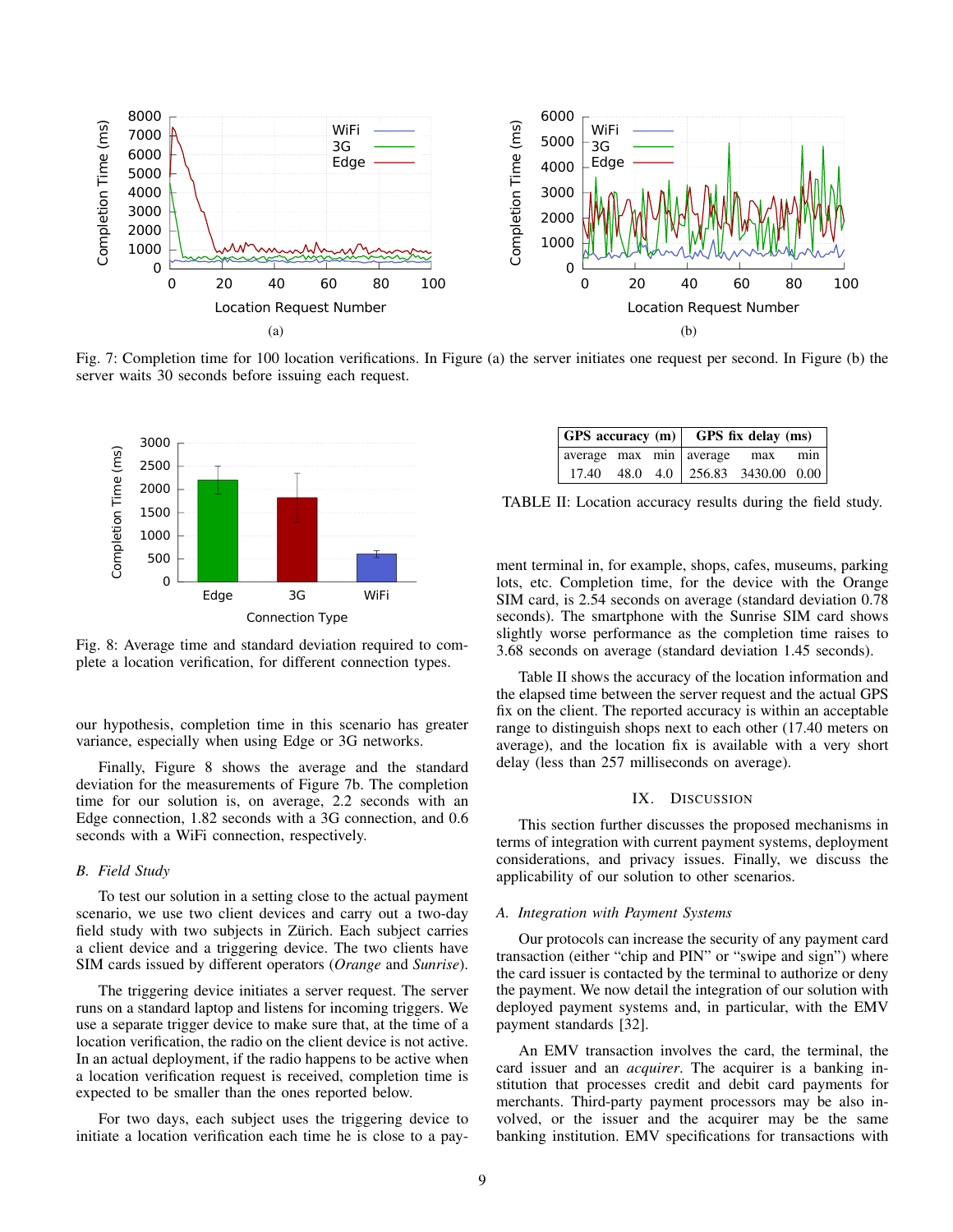<span id="page-8-1"></span>

Fig. 7: Completion time for 100 location verifications. In Figure (a) the server initiates one request per second. In Figure (b) the server waits 30 seconds before issuing each request.

<span id="page-8-3"></span>

Fig. 8: Average time and standard deviation required to complete a location verification, for different connection types.

our hypothesis, completion time in this scenario has greater variance, especially when using Edge or 3G networks.

Finally, Figure [8](#page-8-3) shows the average and the standard deviation for the measurements of Figure [7b.](#page-8-2) The completion time for our solution is, on average, 2.2 seconds with an Edge connection, 1.82 seconds with a 3G connection, and 0.6 seconds with a WiFi connection, respectively.

# *B. Field Study*

To test our solution in a setting close to the actual payment scenario, we use two client devices and carry out a two-day field study with two subjects in Zürich. Each subject carries a client device and a triggering device. The two clients have SIM cards issued by different operators (*Orange* and *Sunrise*).

The triggering device initiates a server request. The server runs on a standard laptop and listens for incoming triggers. We use a separate trigger device to make sure that, at the time of a location verification, the radio on the client device is not active. In an actual deployment, if the radio happens to be active when a location verification request is received, completion time is expected to be smaller than the ones reported below.

For two days, each subject uses the triggering device to initiate a location verification each time he is close to a pay-

<span id="page-8-4"></span><span id="page-8-2"></span>

|  |  |  | GPS accuracy $(m)$ GPS fix delay $(ms)$ |                                              |     |  |
|--|--|--|-----------------------------------------|----------------------------------------------|-----|--|
|  |  |  | average max min average                 | max                                          | min |  |
|  |  |  |                                         | $17.40$ 48.0 4.0 $\vert$ 256.83 3430.00 0.00 |     |  |

TABLE II: Location accuracy results during the field study.

ment terminal in, for example, shops, cafes, museums, parking lots, etc. Completion time, for the device with the Orange SIM card, is 2.54 seconds on average (standard deviation 0.78 seconds). The smartphone with the Sunrise SIM card shows slightly worse performance as the completion time raises to 3.68 seconds on average (standard deviation 1.45 seconds).

Table [II](#page-8-4) shows the accuracy of the location information and the elapsed time between the server request and the actual GPS fix on the client. The reported accuracy is within an acceptable range to distinguish shops next to each other (17.40 meters on average), and the location fix is available with a very short delay (less than 257 milliseconds on average).

## IX. DISCUSSION

<span id="page-8-0"></span>This section further discusses the proposed mechanisms in terms of integration with current payment systems, deployment considerations, and privacy issues. Finally, we discuss the applicability of our solution to other scenarios.

### *A. Integration with Payment Systems*

Our protocols can increase the security of any payment card transaction (either "chip and PIN" or "swipe and sign") where the card issuer is contacted by the terminal to authorize or deny the payment. We now detail the integration of our solution with deployed payment systems and, in particular, with the EMV payment standards [\[32\]](#page-14-15).

An EMV transaction involves the card, the terminal, the card issuer and an *acquirer*. The acquirer is a banking institution that processes credit and debit card payments for merchants. Third-party payment processors may be also involved, or the issuer and the acquirer may be the same banking institution. EMV specifications for transactions with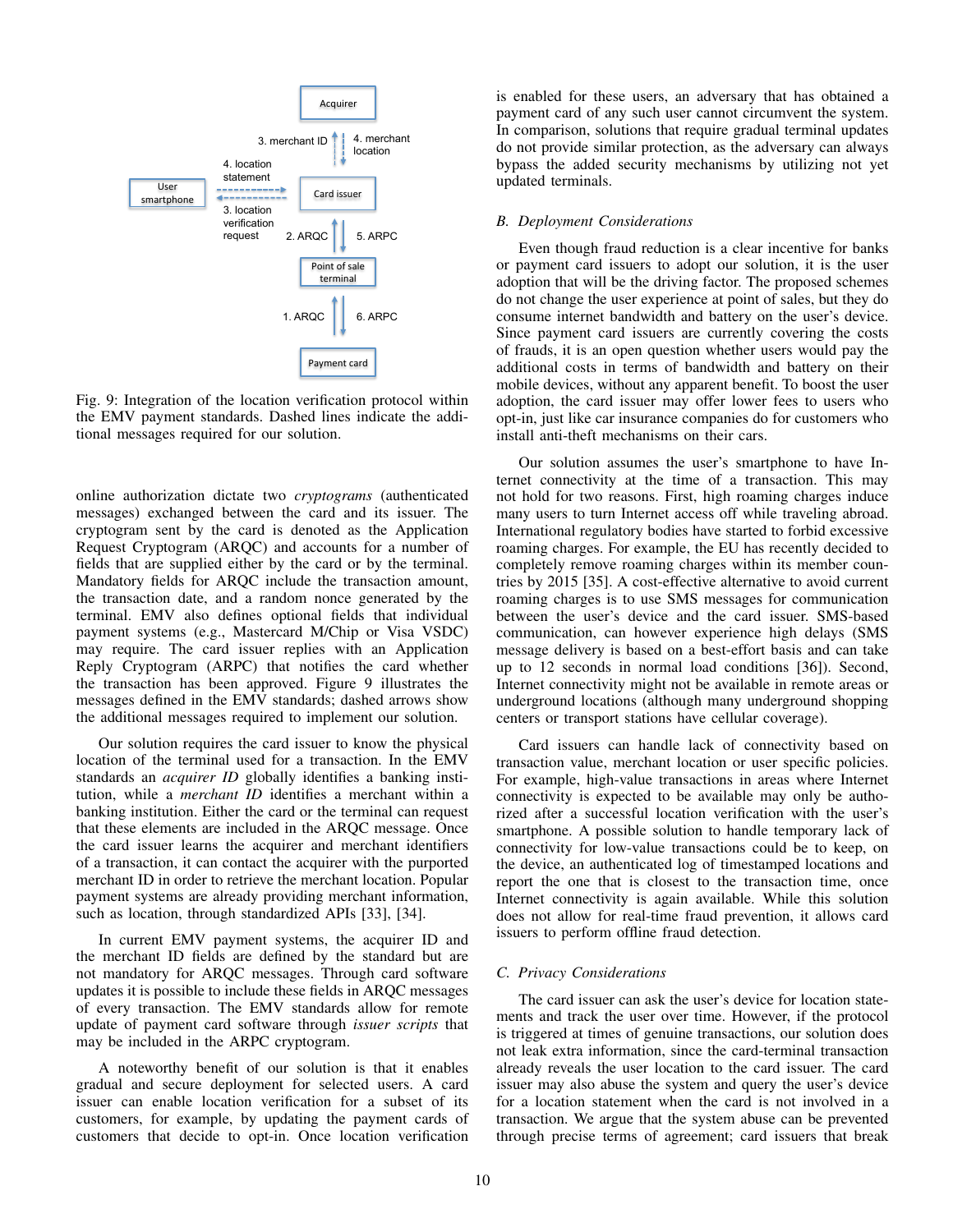<span id="page-9-0"></span>

Fig. 9: Integration of the location verification protocol within the EMV payment standards. Dashed lines indicate the additional messages required for our solution.

online authorization dictate two *cryptograms* (authenticated messages) exchanged between the card and its issuer. The cryptogram sent by the card is denoted as the Application Request Cryptogram (ARQC) and accounts for a number of fields that are supplied either by the card or by the terminal. Mandatory fields for ARQC include the transaction amount, the transaction date, and a random nonce generated by the terminal. EMV also defines optional fields that individual payment systems (e.g., Mastercard M/Chip or Visa VSDC) may require. The card issuer replies with an Application Reply Cryptogram (ARPC) that notifies the card whether the transaction has been approved. Figure [9](#page-9-0) illustrates the messages defined in the EMV standards; dashed arrows show the additional messages required to implement our solution.

Our solution requires the card issuer to know the physical location of the terminal used for a transaction. In the EMV standards an *acquirer ID* globally identifies a banking institution, while a *merchant ID* identifies a merchant within a banking institution. Either the card or the terminal can request that these elements are included in the ARQC message. Once the card issuer learns the acquirer and merchant identifiers of a transaction, it can contact the acquirer with the purported merchant ID in order to retrieve the merchant location. Popular payment systems are already providing merchant information, such as location, through standardized APIs [\[33\]](#page-14-16), [\[34\]](#page-14-17).

In current EMV payment systems, the acquirer ID and the merchant ID fields are defined by the standard but are not mandatory for ARQC messages. Through card software updates it is possible to include these fields in ARQC messages of every transaction. The EMV standards allow for remote update of payment card software through *issuer scripts* that may be included in the ARPC cryptogram.

A noteworthy benefit of our solution is that it enables gradual and secure deployment for selected users. A card issuer can enable location verification for a subset of its customers, for example, by updating the payment cards of customers that decide to opt-in. Once location verification is enabled for these users, an adversary that has obtained a payment card of any such user cannot circumvent the system. In comparison, solutions that require gradual terminal updates do not provide similar protection, as the adversary can always bypass the added security mechanisms by utilizing not yet updated terminals.

## *B. Deployment Considerations*

Even though fraud reduction is a clear incentive for banks or payment card issuers to adopt our solution, it is the user adoption that will be the driving factor. The proposed schemes do not change the user experience at point of sales, but they do consume internet bandwidth and battery on the user's device. Since payment card issuers are currently covering the costs of frauds, it is an open question whether users would pay the additional costs in terms of bandwidth and battery on their mobile devices, without any apparent benefit. To boost the user adoption, the card issuer may offer lower fees to users who opt-in, just like car insurance companies do for customers who install anti-theft mechanisms on their cars.

Our solution assumes the user's smartphone to have Internet connectivity at the time of a transaction. This may not hold for two reasons. First, high roaming charges induce many users to turn Internet access off while traveling abroad. International regulatory bodies have started to forbid excessive roaming charges. For example, the EU has recently decided to completely remove roaming charges within its member countries by 2015 [\[35\]](#page-14-18). A cost-effective alternative to avoid current roaming charges is to use SMS messages for communication between the user's device and the card issuer. SMS-based communication, can however experience high delays (SMS message delivery is based on a best-effort basis and can take up to 12 seconds in normal load conditions [\[36\]](#page-14-19)). Second, Internet connectivity might not be available in remote areas or underground locations (although many underground shopping centers or transport stations have cellular coverage).

Card issuers can handle lack of connectivity based on transaction value, merchant location or user specific policies. For example, high-value transactions in areas where Internet connectivity is expected to be available may only be authorized after a successful location verification with the user's smartphone. A possible solution to handle temporary lack of connectivity for low-value transactions could be to keep, on the device, an authenticated log of timestamped locations and report the one that is closest to the transaction time, once Internet connectivity is again available. While this solution does not allow for real-time fraud prevention, it allows card issuers to perform offline fraud detection.

#### *C. Privacy Considerations*

The card issuer can ask the user's device for location statements and track the user over time. However, if the protocol is triggered at times of genuine transactions, our solution does not leak extra information, since the card-terminal transaction already reveals the user location to the card issuer. The card issuer may also abuse the system and query the user's device for a location statement when the card is not involved in a transaction. We argue that the system abuse can be prevented through precise terms of agreement; card issuers that break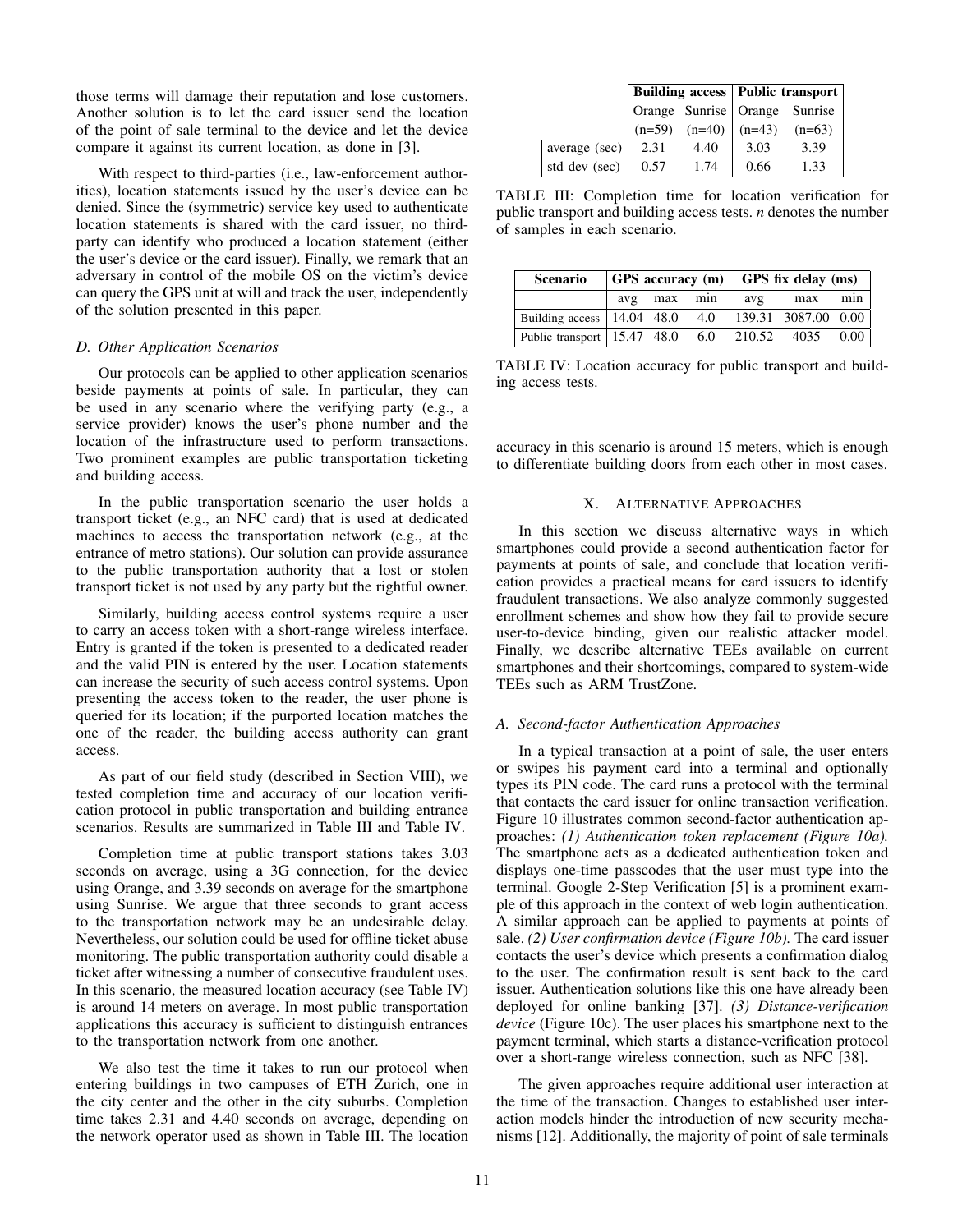those terms will damage their reputation and lose customers. Another solution is to let the card issuer send the location of the point of sale terminal to the device and let the device compare it against its current location, as done in [\[3\]](#page-13-2).

With respect to third-parties (i.e., law-enforcement authorities), location statements issued by the user's device can be denied. Since the (symmetric) service key used to authenticate location statements is shared with the card issuer, no thirdparty can identify who produced a location statement (either the user's device or the card issuer). Finally, we remark that an adversary in control of the mobile OS on the victim's device can query the GPS unit at will and track the user, independently of the solution presented in this paper.

#### *D. Other Application Scenarios*

Our protocols can be applied to other application scenarios beside payments at points of sale. In particular, they can be used in any scenario where the verifying party (e.g., a service provider) knows the user's phone number and the location of the infrastructure used to perform transactions. Two prominent examples are public transportation ticketing and building access.

In the public transportation scenario the user holds a transport ticket (e.g., an NFC card) that is used at dedicated machines to access the transportation network (e.g., at the entrance of metro stations). Our solution can provide assurance to the public transportation authority that a lost or stolen transport ticket is not used by any party but the rightful owner.

Similarly, building access control systems require a user to carry an access token with a short-range wireless interface. Entry is granted if the token is presented to a dedicated reader and the valid PIN is entered by the user. Location statements can increase the security of such access control systems. Upon presenting the access token to the reader, the user phone is queried for its location; if the purported location matches the one of the reader, the building access authority can grant access.

As part of our field study (described in Section [VIII\)](#page-7-0), we tested completion time and accuracy of our location verification protocol in public transportation and building entrance scenarios. Results are summarized in Table [III](#page-10-1) and Table [IV.](#page-10-2)

Completion time at public transport stations takes 3.03 seconds on average, using a 3G connection, for the device using Orange, and 3.39 seconds on average for the smartphone using Sunrise. We argue that three seconds to grant access to the transportation network may be an undesirable delay. Nevertheless, our solution could be used for offline ticket abuse monitoring. The public transportation authority could disable a ticket after witnessing a number of consecutive fraudulent uses. In this scenario, the measured location accuracy (see Table [IV\)](#page-10-2) is around 14 meters on average. In most public transportation applications this accuracy is sufficient to distinguish entrances to the transportation network from one another.

We also test the time it takes to run our protocol when entering buildings in two campuses of ETH Zurich, one in the city center and the other in the city suburbs. Completion time takes 2.31 and 4.40 seconds on average, depending on the network operator used as shown in Table [III.](#page-10-1) The location

<span id="page-10-1"></span>

|               |      |                   | <b>Building access   Public transport</b> |                                 |  |
|---------------|------|-------------------|-------------------------------------------|---------------------------------|--|
|               |      |                   |                                           | Orange Sunrise   Orange Sunrise |  |
|               |      | $(n=59)$ $(n=40)$ | $(n=43)$                                  | $(n=63)$                        |  |
| average (sec) | 2.31 | 4.40              | 3.03                                      | 3.39                            |  |
| std dev (sec) | 0.57 | 1.74              | 0.66                                      | 1.33                            |  |

TABLE III: Completion time for location verification for public transport and building access tests. *n* denotes the number of samples in each scenario.

<span id="page-10-2"></span>

| <b>Scenario</b>                    |     |     |     | $ $ GPS accuracy (m) $ $ GPS fix delay (ms) |                                                      |     |
|------------------------------------|-----|-----|-----|---------------------------------------------|------------------------------------------------------|-----|
|                                    | avg | max | min | avg                                         | max                                                  | min |
| Building access $\vert$ 14.04 48.0 |     |     | 4.0 |                                             | $\vert$ 139.31 3087.00 0.00                          |     |
| Public transport   15.47 48.0      |     |     | 6.0 |                                             | $\begin{bmatrix} 210.52 & 4035 & 0.00 \end{bmatrix}$ |     |

TABLE IV: Location accuracy for public transport and building access tests.

accuracy in this scenario is around 15 meters, which is enough to differentiate building doors from each other in most cases.

#### X. ALTERNATIVE APPROACHES

<span id="page-10-0"></span>In this section we discuss alternative ways in which smartphones could provide a second authentication factor for payments at points of sale, and conclude that location verification provides a practical means for card issuers to identify fraudulent transactions. We also analyze commonly suggested enrollment schemes and show how they fail to provide secure user-to-device binding, given our realistic attacker model. Finally, we describe alternative TEEs available on current smartphones and their shortcomings, compared to system-wide TEEs such as ARM TrustZone.

#### *A. Second-factor Authentication Approaches*

In a typical transaction at a point of sale, the user enters or swipes his payment card into a terminal and optionally types its PIN code. The card runs a protocol with the terminal that contacts the card issuer for online transaction verification. Figure [10](#page-11-0) illustrates common second-factor authentication approaches: *(1) Authentication token replacement (Figure [10a\)](#page-11-1).* The smartphone acts as a dedicated authentication token and displays one-time passcodes that the user must type into the terminal. Google 2-Step Verification [\[5\]](#page-13-4) is a prominent example of this approach in the context of web login authentication. A similar approach can be applied to payments at points of sale. *(2) User confirmation device (Figure [10b\)](#page-11-2).* The card issuer contacts the user's device which presents a confirmation dialog to the user. The confirmation result is sent back to the card issuer. Authentication solutions like this one have already been deployed for online banking [\[37\]](#page-14-20). *(3) Distance-verification device* (Figure [10c\)](#page-11-3). The user places his smartphone next to the payment terminal, which starts a distance-verification protocol over a short-range wireless connection, such as NFC [\[38\]](#page-14-21).

The given approaches require additional user interaction at the time of the transaction. Changes to established user interaction models hinder the introduction of new security mechanisms [\[12\]](#page-13-11). Additionally, the majority of point of sale terminals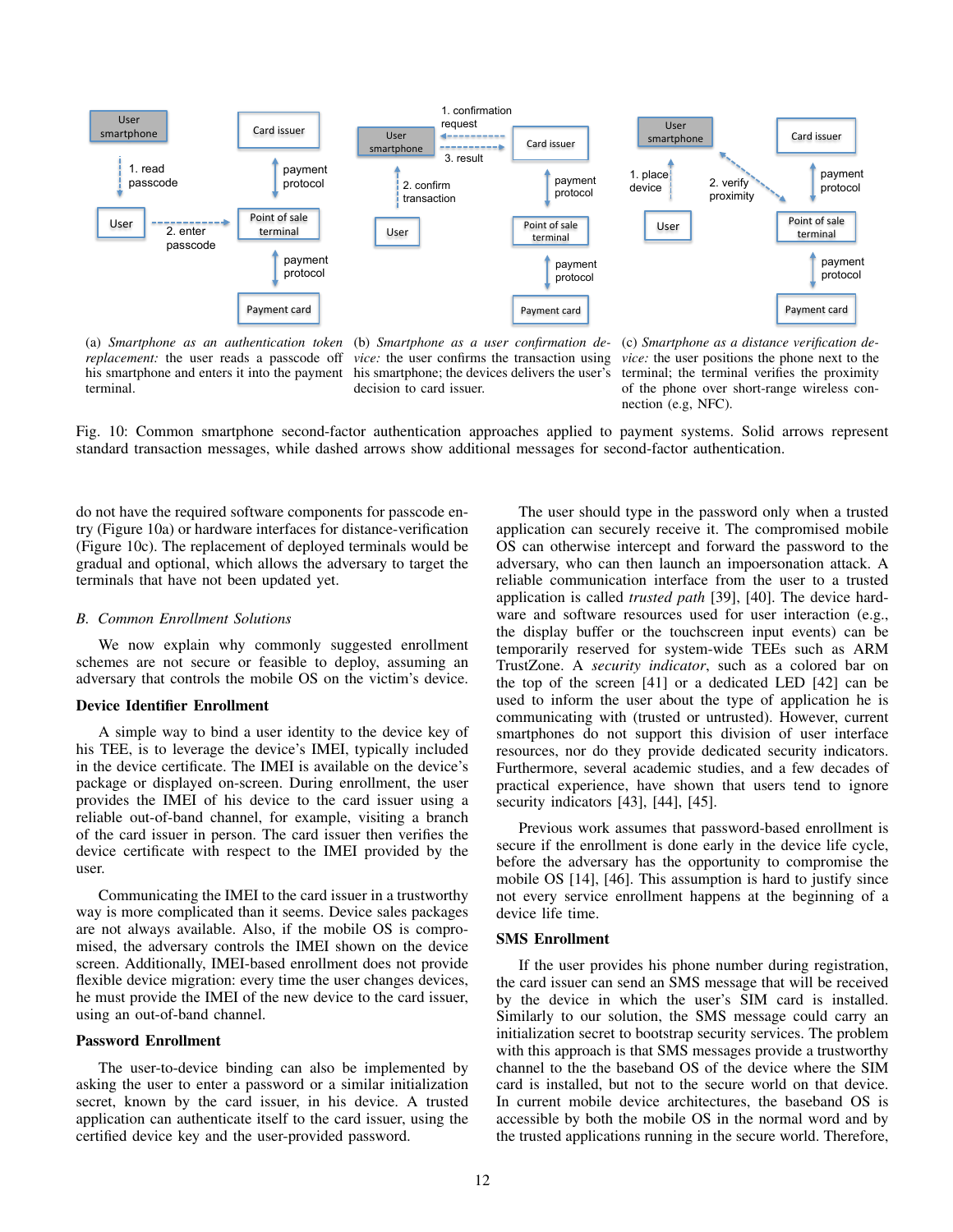<span id="page-11-1"></span><span id="page-11-0"></span>

(a) *Smartphone as an authentication token replacement:* the user reads a passcode off his smartphone and enters it into the payment terminal.

<span id="page-11-2"></span>(b) *Smartphone as a user confirmation device:* the user confirms the transaction using his smartphone; the devices delivers the user's decision to card issuer.

<span id="page-11-3"></span>(c) *Smartphone as a distance verification device:* the user positions the phone next to the terminal; the terminal verifies the proximity of the phone over short-range wireless connection (e.g, NFC).

Fig. 10: Common smartphone second-factor authentication approaches applied to payment systems. Solid arrows represent standard transaction messages, while dashed arrows show additional messages for second-factor authentication.

do not have the required software components for passcode entry (Figure [10a\)](#page-11-1) or hardware interfaces for distance-verification (Figure [10c\)](#page-11-3). The replacement of deployed terminals would be gradual and optional, which allows the adversary to target the terminals that have not been updated yet.

#### *B. Common Enrollment Solutions*

We now explain why commonly suggested enrollment schemes are not secure or feasible to deploy, assuming an adversary that controls the mobile OS on the victim's device.

#### Device Identifier Enrollment

A simple way to bind a user identity to the device key of his TEE, is to leverage the device's IMEI, typically included in the device certificate. The IMEI is available on the device's package or displayed on-screen. During enrollment, the user provides the IMEI of his device to the card issuer using a reliable out-of-band channel, for example, visiting a branch of the card issuer in person. The card issuer then verifies the device certificate with respect to the IMEI provided by the user.

Communicating the IMEI to the card issuer in a trustworthy way is more complicated than it seems. Device sales packages are not always available. Also, if the mobile OS is compromised, the adversary controls the IMEI shown on the device screen. Additionally, IMEI-based enrollment does not provide flexible device migration: every time the user changes devices, he must provide the IMEI of the new device to the card issuer, using an out-of-band channel.

#### Password Enrollment

The user-to-device binding can also be implemented by asking the user to enter a password or a similar initialization secret, known by the card issuer, in his device. A trusted application can authenticate itself to the card issuer, using the certified device key and the user-provided password.

The user should type in the password only when a trusted application can securely receive it. The compromised mobile OS can otherwise intercept and forward the password to the adversary, who can then launch an impoersonation attack. A reliable communication interface from the user to a trusted application is called *trusted path* [\[39\]](#page-14-22), [\[40\]](#page-14-23). The device hardware and software resources used for user interaction (e.g., the display buffer or the touchscreen input events) can be temporarily reserved for system-wide TEEs such as ARM TrustZone. A *security indicator*, such as a colored bar on the top of the screen [\[41\]](#page-14-24) or a dedicated LED [\[42\]](#page-14-25) can be used to inform the user about the type of application he is communicating with (trusted or untrusted). However, current smartphones do not support this division of user interface resources, nor do they provide dedicated security indicators. Furthermore, several academic studies, and a few decades of practical experience, have shown that users tend to ignore security indicators [\[43\]](#page-14-26), [\[44\]](#page-14-27), [\[45\]](#page-14-28).

Previous work assumes that password-based enrollment is secure if the enrollment is done early in the device life cycle, before the adversary has the opportunity to compromise the mobile OS [\[14\]](#page-13-13), [\[46\]](#page-14-29). This assumption is hard to justify since not every service enrollment happens at the beginning of a device life time.

#### SMS Enrollment

If the user provides his phone number during registration, the card issuer can send an SMS message that will be received by the device in which the user's SIM card is installed. Similarly to our solution, the SMS message could carry an initialization secret to bootstrap security services. The problem with this approach is that SMS messages provide a trustworthy channel to the the baseband OS of the device where the SIM card is installed, but not to the secure world on that device. In current mobile device architectures, the baseband OS is accessible by both the mobile OS in the normal word and by the trusted applications running in the secure world. Therefore,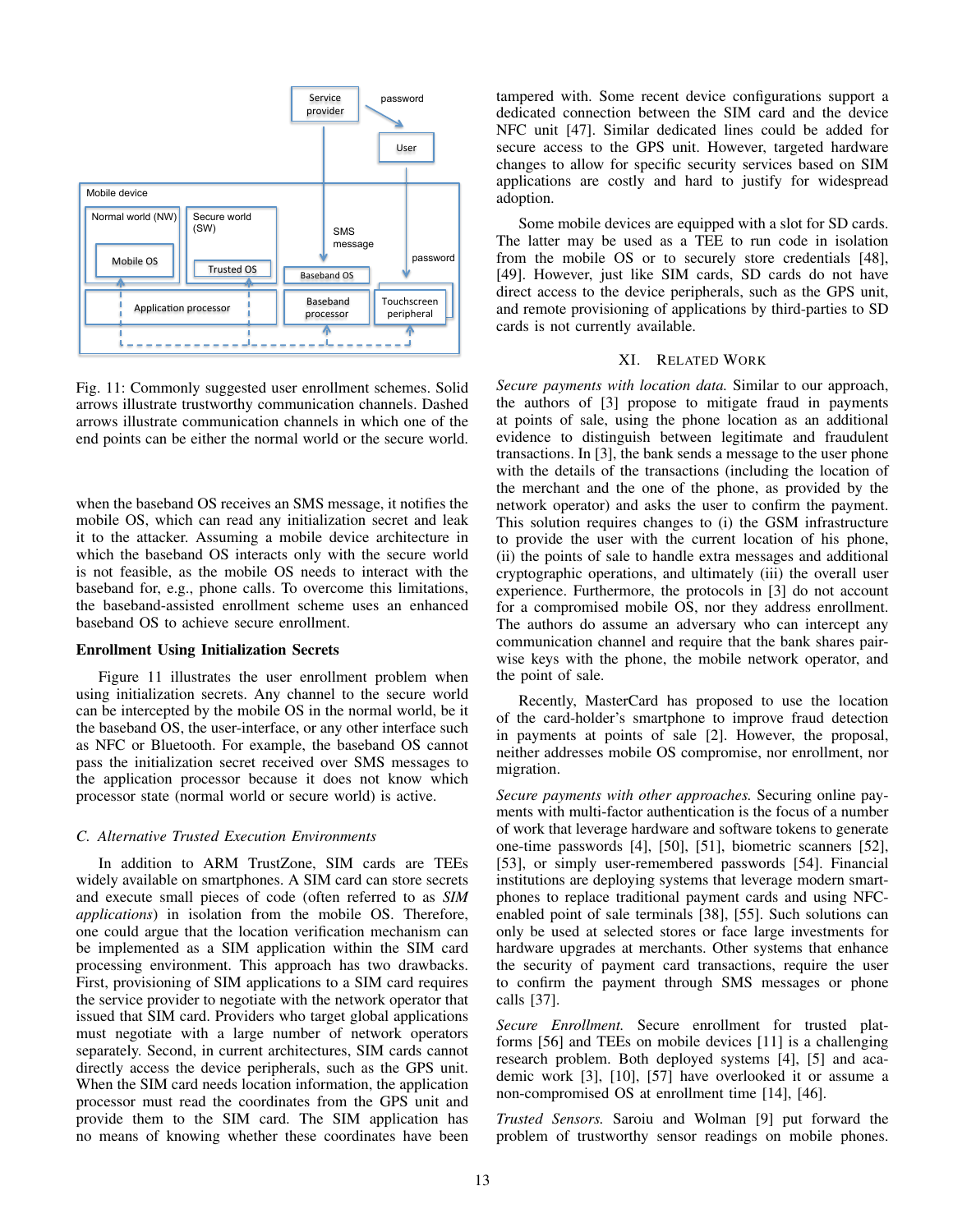<span id="page-12-1"></span>

Fig. 11: Commonly suggested user enrollment schemes. Solid arrows illustrate trustworthy communication channels. Dashed arrows illustrate communication channels in which one of the end points can be either the normal world or the secure world.

when the baseband OS receives an SMS message, it notifies the mobile OS, which can read any initialization secret and leak it to the attacker. Assuming a mobile device architecture in which the baseband OS interacts only with the secure world is not feasible, as the mobile OS needs to interact with the baseband for, e.g., phone calls. To overcome this limitations, the baseband-assisted enrollment scheme uses an enhanced baseband OS to achieve secure enrollment.

## Enrollment Using Initialization Secrets

Figure [11](#page-12-1) illustrates the user enrollment problem when using initialization secrets. Any channel to the secure world can be intercepted by the mobile OS in the normal world, be it the baseband OS, the user-interface, or any other interface such as NFC or Bluetooth. For example, the baseband OS cannot pass the initialization secret received over SMS messages to the application processor because it does not know which processor state (normal world or secure world) is active.

### *C. Alternative Trusted Execution Environments*

In addition to ARM TrustZone, SIM cards are TEEs widely available on smartphones. A SIM card can store secrets and execute small pieces of code (often referred to as *SIM applications*) in isolation from the mobile OS. Therefore, one could argue that the location verification mechanism can be implemented as a SIM application within the SIM card processing environment. This approach has two drawbacks. First, provisioning of SIM applications to a SIM card requires the service provider to negotiate with the network operator that issued that SIM card. Providers who target global applications must negotiate with a large number of network operators separately. Second, in current architectures, SIM cards cannot directly access the device peripherals, such as the GPS unit. When the SIM card needs location information, the application processor must read the coordinates from the GPS unit and provide them to the SIM card. The SIM application has no means of knowing whether these coordinates have been tampered with. Some recent device configurations support a dedicated connection between the SIM card and the device NFC unit [\[47\]](#page-14-30). Similar dedicated lines could be added for secure access to the GPS unit. However, targeted hardware changes to allow for specific security services based on SIM applications are costly and hard to justify for widespread adoption.

Some mobile devices are equipped with a slot for SD cards. The latter may be used as a TEE to run code in isolation from the mobile OS or to securely store credentials [\[48\]](#page-14-31), [\[49\]](#page-14-32). However, just like SIM cards, SD cards do not have direct access to the device peripherals, such as the GPS unit, and remote provisioning of applications by third-parties to SD cards is not currently available.

## XI. RELATED WORK

<span id="page-12-0"></span>*Secure payments with location data.* Similar to our approach, the authors of [\[3\]](#page-13-2) propose to mitigate fraud in payments at points of sale, using the phone location as an additional evidence to distinguish between legitimate and fraudulent transactions. In [\[3\]](#page-13-2), the bank sends a message to the user phone with the details of the transactions (including the location of the merchant and the one of the phone, as provided by the network operator) and asks the user to confirm the payment. This solution requires changes to (i) the GSM infrastructure to provide the user with the current location of his phone, (ii) the points of sale to handle extra messages and additional cryptographic operations, and ultimately (iii) the overall user experience. Furthermore, the protocols in [\[3\]](#page-13-2) do not account for a compromised mobile OS, nor they address enrollment. The authors do assume an adversary who can intercept any communication channel and require that the bank shares pairwise keys with the phone, the mobile network operator, and the point of sale.

Recently, MasterCard has proposed to use the location of the card-holder's smartphone to improve fraud detection in payments at points of sale [\[2\]](#page-13-1). However, the proposal, neither addresses mobile OS compromise, nor enrollment, nor migration.

*Secure payments with other approaches.* Securing online payments with multi-factor authentication is the focus of a number of work that leverage hardware and software tokens to generate one-time passwords [\[4\]](#page-13-3), [\[50\]](#page-14-33), [\[51\]](#page-14-34), biometric scanners [\[52\]](#page-14-35), [\[53\]](#page-14-36), or simply user-remembered passwords [\[54\]](#page-14-37). Financial institutions are deploying systems that leverage modern smartphones to replace traditional payment cards and using NFCenabled point of sale terminals [\[38\]](#page-14-21), [\[55\]](#page-14-38). Such solutions can only be used at selected stores or face large investments for hardware upgrades at merchants. Other systems that enhance the security of payment card transactions, require the user to confirm the payment through SMS messages or phone calls [\[37\]](#page-14-20).

*Secure Enrollment.* Secure enrollment for trusted platforms [\[56\]](#page-14-39) and TEEs on mobile devices [\[11\]](#page-13-10) is a challenging research problem. Both deployed systems [\[4\]](#page-13-3), [\[5\]](#page-13-4) and academic work [\[3\]](#page-13-2), [\[10\]](#page-13-9), [\[57\]](#page-14-40) have overlooked it or assume a non-compromised OS at enrollment time [\[14\]](#page-13-13), [\[46\]](#page-14-29).

*Trusted Sensors.* Saroiu and Wolman [\[9\]](#page-13-8) put forward the problem of trustworthy sensor readings on mobile phones.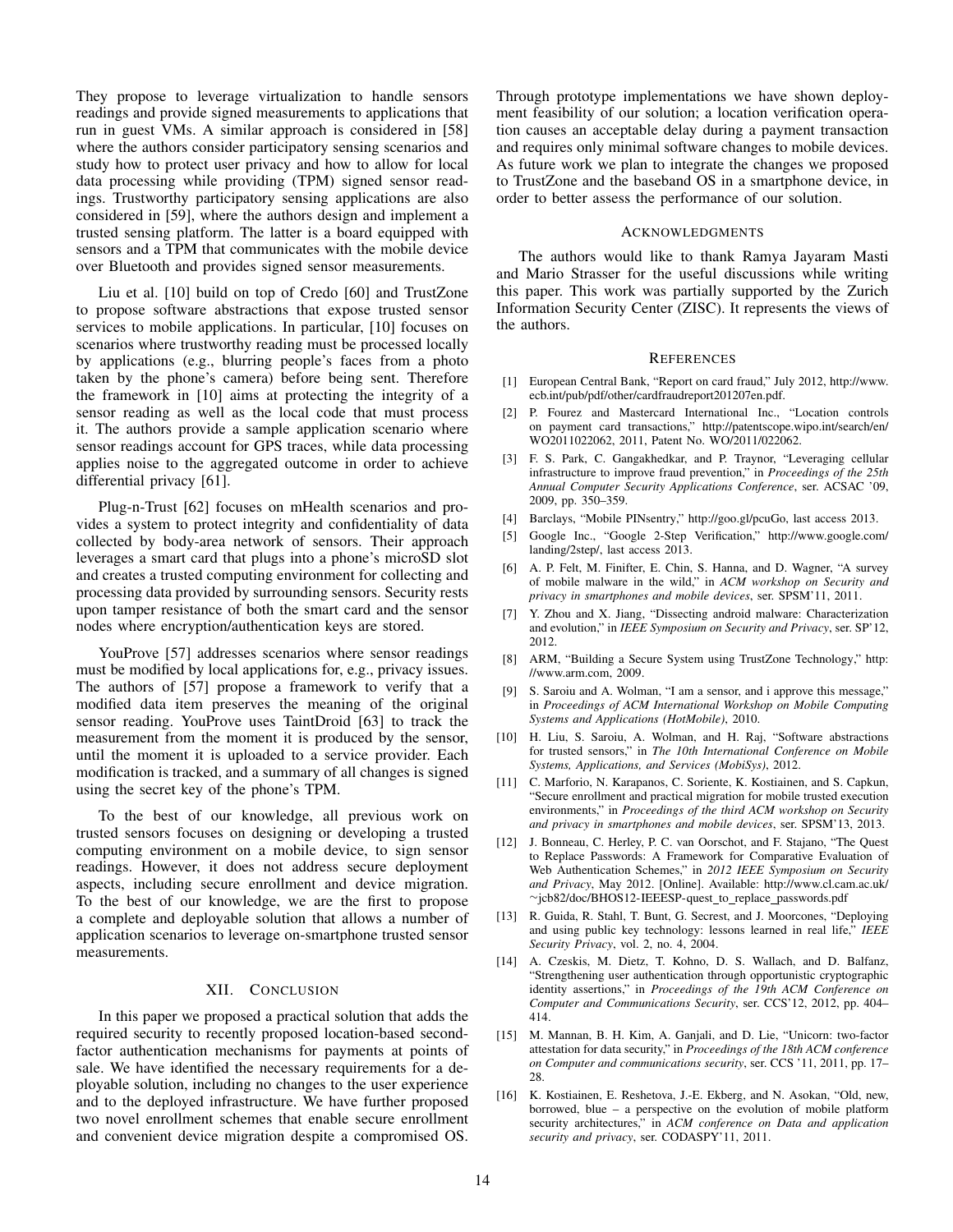They propose to leverage virtualization to handle sensors readings and provide signed measurements to applications that run in guest VMs. A similar approach is considered in [\[58\]](#page-14-41) where the authors consider participatory sensing scenarios and study how to protect user privacy and how to allow for local data processing while providing (TPM) signed sensor readings. Trustworthy participatory sensing applications are also considered in [\[59\]](#page-14-42), where the authors design and implement a trusted sensing platform. The latter is a board equipped with sensors and a TPM that communicates with the mobile device over Bluetooth and provides signed sensor measurements.

Liu et al. [\[10\]](#page-13-9) build on top of Credo [\[60\]](#page-14-43) and TrustZone to propose software abstractions that expose trusted sensor services to mobile applications. In particular, [\[10\]](#page-13-9) focuses on scenarios where trustworthy reading must be processed locally by applications (e.g., blurring people's faces from a photo taken by the phone's camera) before being sent. Therefore the framework in [\[10\]](#page-13-9) aims at protecting the integrity of a sensor reading as well as the local code that must process it. The authors provide a sample application scenario where sensor readings account for GPS traces, while data processing applies noise to the aggregated outcome in order to achieve differential privacy [\[61\]](#page-14-44).

Plug-n-Trust [\[62\]](#page-14-45) focuses on mHealth scenarios and provides a system to protect integrity and confidentiality of data collected by body-area network of sensors. Their approach leverages a smart card that plugs into a phone's microSD slot and creates a trusted computing environment for collecting and processing data provided by surrounding sensors. Security rests upon tamper resistance of both the smart card and the sensor nodes where encryption/authentication keys are stored.

YouProve [\[57\]](#page-14-40) addresses scenarios where sensor readings must be modified by local applications for, e.g., privacy issues. The authors of [\[57\]](#page-14-40) propose a framework to verify that a modified data item preserves the meaning of the original sensor reading. YouProve uses TaintDroid [\[63\]](#page-14-46) to track the measurement from the moment it is produced by the sensor, until the moment it is uploaded to a service provider. Each modification is tracked, and a summary of all changes is signed using the secret key of the phone's TPM.

To the best of our knowledge, all previous work on trusted sensors focuses on designing or developing a trusted computing environment on a mobile device, to sign sensor readings. However, it does not address secure deployment aspects, including secure enrollment and device migration. To the best of our knowledge, we are the first to propose a complete and deployable solution that allows a number of application scenarios to leverage on-smartphone trusted sensor measurements.

### XII. CONCLUSION

In this paper we proposed a practical solution that adds the required security to recently proposed location-based secondfactor authentication mechanisms for payments at points of sale. We have identified the necessary requirements for a deployable solution, including no changes to the user experience and to the deployed infrastructure. We have further proposed two novel enrollment schemes that enable secure enrollment and convenient device migration despite a compromised OS. Through prototype implementations we have shown deployment feasibility of our solution; a location verification operation causes an acceptable delay during a payment transaction and requires only minimal software changes to mobile devices. As future work we plan to integrate the changes we proposed to TrustZone and the baseband OS in a smartphone device, in order to better assess the performance of our solution.

#### ACKNOWLEDGMENTS

The authors would like to thank Ramya Jayaram Masti and Mario Strasser for the useful discussions while writing this paper. This work was partially supported by the Zurich Information Security Center (ZISC). It represents the views of the authors.

#### **REFERENCES**

- <span id="page-13-0"></span>[1] European Central Bank, "Report on card fraud," July 2012, [http://www.](http://www.ecb.int/pub/pdf/other/cardfraudreport201207en.pdf) [ecb.int/pub/pdf/other/cardfraudreport201207en.pdf.](http://www.ecb.int/pub/pdf/other/cardfraudreport201207en.pdf)
- <span id="page-13-1"></span>[2] P. Fourez and Mastercard International Inc., "Location controls on payment card transactions," [http://patentscope.wipo.int/search/en/](http://patentscope.wipo.int/search/en/WO2011022062) [WO2011022062,](http://patentscope.wipo.int/search/en/WO2011022062) 2011, Patent No. WO/2011/022062.
- <span id="page-13-2"></span>[3] F. S. Park, C. Gangakhedkar, and P. Traynor, "Leveraging cellular infrastructure to improve fraud prevention," in *Proceedings of the 25th Annual Computer Security Applications Conference*, ser. ACSAC '09, 2009, pp. 350–359.
- <span id="page-13-3"></span>[4] Barclays, "Mobile PINsentry," [http://goo.gl/pcuGo,](http://goo.gl/pcuGo) last access 2013.
- <span id="page-13-4"></span>[5] Google Inc., "Google 2-Step Verification," [http://www.google.com/](http://www.google.com/landing/2step/) [landing/2step/,](http://www.google.com/landing/2step/) last access 2013.
- <span id="page-13-5"></span>[6] A. P. Felt, M. Finifter, E. Chin, S. Hanna, and D. Wagner, "A survey of mobile malware in the wild," in *ACM workshop on Security and privacy in smartphones and mobile devices*, ser. SPSM'11, 2011.
- <span id="page-13-6"></span>[7] Y. Zhou and X. Jiang, "Dissecting android malware: Characterization and evolution," in *IEEE Symposium on Security and Privacy*, ser. SP'12, 2012.
- <span id="page-13-7"></span>[8] ARM, "Building a Secure System using TrustZone Technology," [http:](http://www.arm.com) [//www.arm.com,](http://www.arm.com) 2009.
- <span id="page-13-8"></span>[9] S. Saroiu and A. Wolman, "I am a sensor, and i approve this message," in *Proceedings of ACM International Workshop on Mobile Computing Systems and Applications (HotMobile)*, 2010.
- <span id="page-13-9"></span>[10] H. Liu, S. Saroiu, A. Wolman, and H. Raj, "Software abstractions for trusted sensors," in *The 10th International Conference on Mobile Systems, Applications, and Services (MobiSys)*, 2012.
- <span id="page-13-10"></span>[11] C. Marforio, N. Karapanos, C. Soriente, K. Kostiainen, and S. Capkun, "Secure enrollment and practical migration for mobile trusted execution environments," in *Proceedings of the third ACM workshop on Security and privacy in smartphones and mobile devices*, ser. SPSM'13, 2013.
- <span id="page-13-11"></span>[12] J. Bonneau, C. Herley, P. C. van Oorschot, and F. Stajano, "The Quest to Replace Passwords: A Framework for Comparative Evaluation of Web Authentication Schemes," in *2012 IEEE Symposium on Security and Privacy*, May 2012. [Online]. Available: [http://www.cl.cam.ac.uk/](http://www.cl.cam.ac.uk/~jcb82/doc/BHOS12-IEEESP-quest_to_replace_passwords.pdf) ~[jcb82/doc/BHOS12-IEEESP-quest](http://www.cl.cam.ac.uk/~jcb82/doc/BHOS12-IEEESP-quest_to_replace_passwords.pdf)\_to\_replace\_passwords.pdf
- <span id="page-13-12"></span>[13] R. Guida, R. Stahl, T. Bunt, G. Secrest, and J. Moorcones, "Deploying and using public key technology: lessons learned in real life," *IEEE Security Privacy*, vol. 2, no. 4, 2004.
- <span id="page-13-13"></span>[14] A. Czeskis, M. Dietz, T. Kohno, D. S. Wallach, and D. Balfanz, "Strengthening user authentication through opportunistic cryptographic identity assertions," in *Proceedings of the 19th ACM Conference on Computer and Communications Security*, ser. CCS'12, 2012, pp. 404– 414.
- <span id="page-13-14"></span>[15] M. Mannan, B. H. Kim, A. Ganjali, and D. Lie, "Unicorn: two-factor attestation for data security," in *Proceedings of the 18th ACM conference on Computer and communications security*, ser. CCS '11, 2011, pp. 17– 28.
- <span id="page-13-15"></span>[16] K. Kostiainen, E. Reshetova, J.-E. Ekberg, and N. Asokan, "Old, new, borrowed, blue – a perspective on the evolution of mobile platform security architectures," in *ACM conference on Data and application security and privacy*, ser. CODASPY'11, 2011.